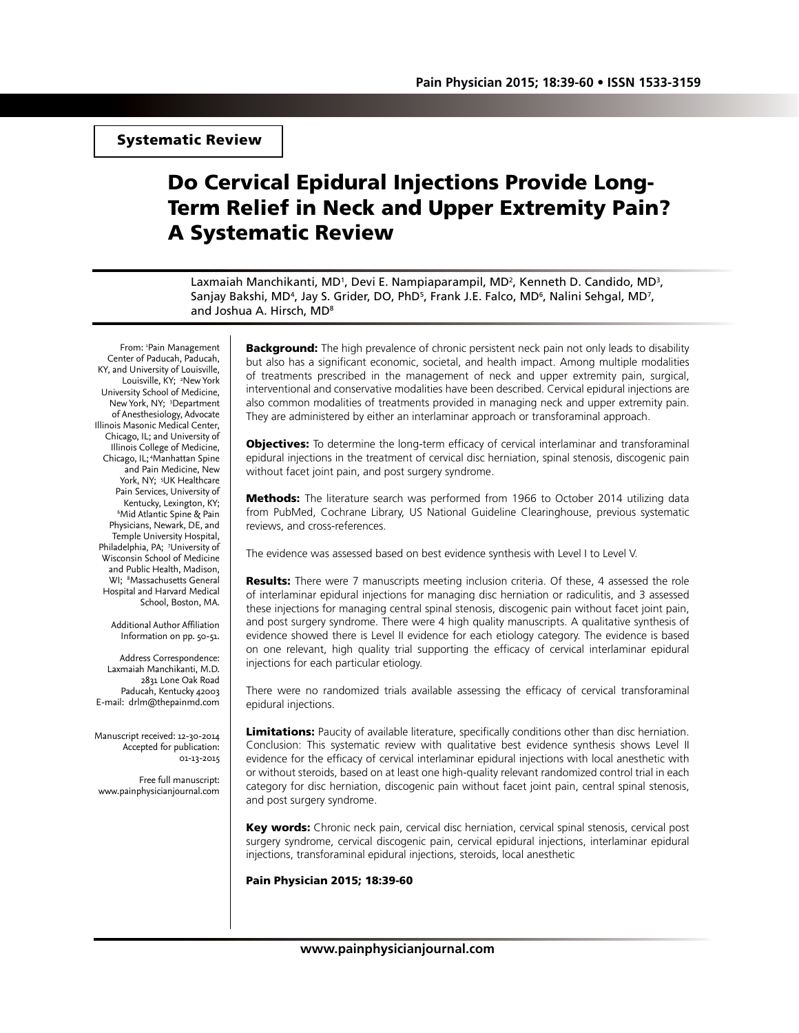Systematic Review

# Do Cervical Epidural Injections Provide Long-Term Relief in Neck and Upper Extremity Pain? A Systematic Review

Laxmaiah Manchikanti, MD<sup>1</sup>, Devi E. Nampiaparampil, MD<sup>2</sup>, Kenneth D. Candido, MD<sup>3</sup>, Sanjay Bakshi, MD<sup>4</sup>, Jay S. Grider, DO, PhD<sup>5</sup>, Frank J.E. Falco, MD<sup>6</sup>, Nalini Sehgal, MD<sup>7</sup>, and Joshua A. Hirsch, MD8

From: 'Pain Management Center of Paducah, Paducah, KY, and University of Louisville, Louisville, KY; <sup>2</sup>New York University School of Medicine, New York, NY; <sup>3</sup>Department of Anesthesiology, Advocate Illinois Masonic Medical Center, Chicago, IL; and University of Illinois College of Medicine, Chicago, IL; 4Manhattan Spine and Pain Medicine, New York, NY; <sup>5</sup>UK Healthcare Pain Services, University of Kentucky, Lexington, KY; 6 Mid Atlantic Spine & Pain Physicians, Newark, DE, and Temple University Hospital, Philadelphia, PA; 7University of Wisconsin School of Medicine and Public Health, Madison, WI; 8 Massachusetts General Hospital and Harvard Medical School, Boston, MA.

> Additional Author Affiliation Information on pp. 50-51.

Address Correspondence: Laxmaiah Manchikanti, M.D. 2831 Lone Oak Road Paducah, Kentucky 42003 E-mail: drlm@thepainmd.com

Manuscript received: 12-30-2014 Accepted for publication: 01-13-2015

Free full manuscript: www.painphysicianjournal.com

**Background:** The high prevalence of chronic persistent neck pain not only leads to disability but also has a significant economic, societal, and health impact. Among multiple modalities of treatments prescribed in the management of neck and upper extremity pain, surgical, interventional and conservative modalities have been described. Cervical epidural injections are also common modalities of treatments provided in managing neck and upper extremity pain. They are administered by either an interlaminar approach or transforaminal approach.

**Objectives:** To determine the long-term efficacy of cervical interlaminar and transforaminal epidural injections in the treatment of cervical disc herniation, spinal stenosis, discogenic pain without facet joint pain, and post surgery syndrome.

**Methods:** The literature search was performed from 1966 to October 2014 utilizing data from PubMed, Cochrane Library, US National Guideline Clearinghouse, previous systematic reviews, and cross-references.

The evidence was assessed based on best evidence synthesis with Level I to Level V.

**Results:** There were 7 manuscripts meeting inclusion criteria. Of these, 4 assessed the role of interlaminar epidural injections for managing disc herniation or radiculitis, and 3 assessed these injections for managing central spinal stenosis, discogenic pain without facet joint pain, and post surgery syndrome. There were 4 high quality manuscripts. A qualitative synthesis of evidence showed there is Level II evidence for each etiology category. The evidence is based on one relevant, high quality trial supporting the efficacy of cervical interlaminar epidural injections for each particular etiology.

There were no randomized trials available assessing the efficacy of cervical transforaminal epidural injections.

Limitations: Paucity of available literature, specifically conditions other than disc herniation. Conclusion: This systematic review with qualitative best evidence synthesis shows Level II evidence for the efficacy of cervical interlaminar epidural injections with local anesthetic with or without steroids, based on at least one high-quality relevant randomized control trial in each category for disc herniation, discogenic pain without facet joint pain, central spinal stenosis, and post surgery syndrome.

Key words: Chronic neck pain, cervical disc herniation, cervical spinal stenosis, cervical post surgery syndrome, cervical discogenic pain, cervical epidural injections, interlaminar epidural injections, transforaminal epidural injections, steroids, local anesthetic

Pain Physician 2015; 18:39-60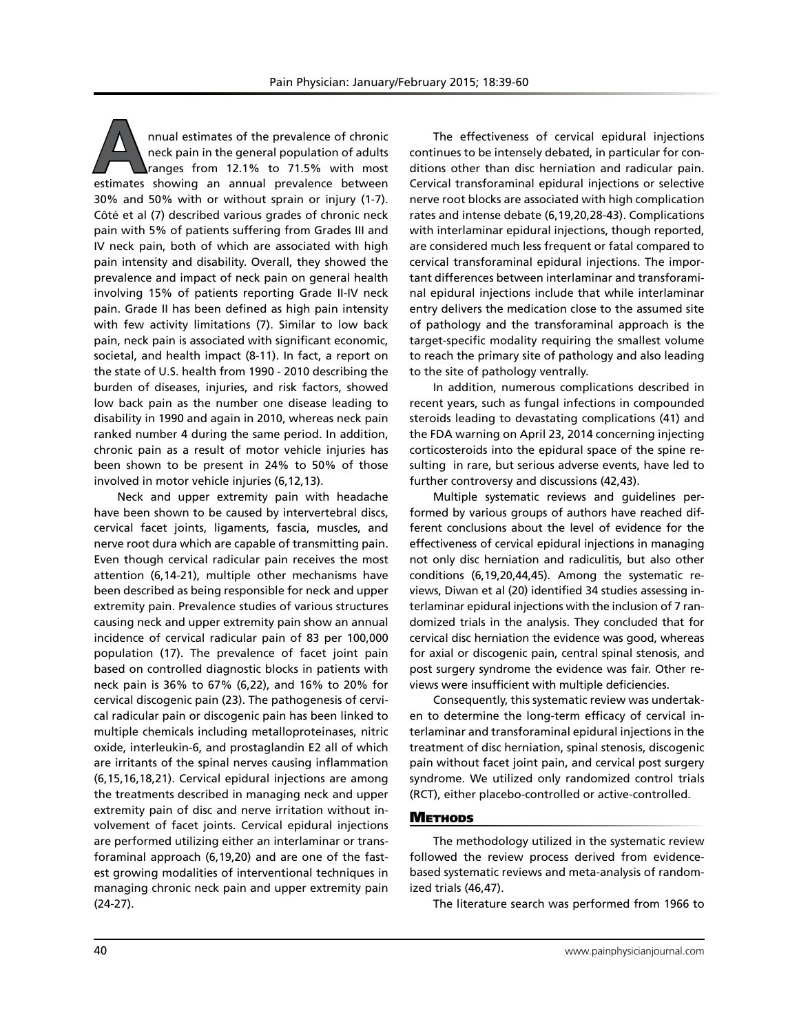**A**nnual estimates of the prevalence of chronic neck pain in the general population of adults ranges from 12.1% to 71.5% with most estimates showing an annual prevalence between 30% and 50% with or without sprain or injury (1-7). Côté et al (7) described various grades of chronic neck pain with 5% of patients suffering from Grades III and IV neck pain, both of which are associated with high pain intensity and disability. Overall, they showed the prevalence and impact of neck pain on general health involving 15% of patients reporting Grade II-IV neck pain. Grade II has been defined as high pain intensity with few activity limitations (7). Similar to low back pain, neck pain is associated with significant economic, societal, and health impact (8-11). In fact, a report on the state of U.S. health from 1990 - 2010 describing the burden of diseases, injuries, and risk factors, showed low back pain as the number one disease leading to disability in 1990 and again in 2010, whereas neck pain ranked number 4 during the same period. In addition, chronic pain as a result of motor vehicle injuries has been shown to be present in 24% to 50% of those involved in motor vehicle injuries (6,12,13).

Neck and upper extremity pain with headache have been shown to be caused by intervertebral discs, cervical facet joints, ligaments, fascia, muscles, and nerve root dura which are capable of transmitting pain. Even though cervical radicular pain receives the most attention (6,14-21), multiple other mechanisms have been described as being responsible for neck and upper extremity pain. Prevalence studies of various structures causing neck and upper extremity pain show an annual incidence of cervical radicular pain of 83 per 100,000 population (17). The prevalence of facet joint pain based on controlled diagnostic blocks in patients with neck pain is 36% to 67% (6,22), and 16% to 20% for cervical discogenic pain (23). The pathogenesis of cervical radicular pain or discogenic pain has been linked to multiple chemicals including metalloproteinases, nitric oxide, interleukin-6, and prostaglandin E2 all of which are irritants of the spinal nerves causing inflammation (6,15,16,18,21). Cervical epidural injections are among the treatments described in managing neck and upper extremity pain of disc and nerve irritation without involvement of facet joints. Cervical epidural injections are performed utilizing either an interlaminar or transforaminal approach (6,19,20) and are one of the fastest growing modalities of interventional techniques in managing chronic neck pain and upper extremity pain (24-27).

The effectiveness of cervical epidural injections continues to be intensely debated, in particular for conditions other than disc herniation and radicular pain. Cervical transforaminal epidural injections or selective nerve root blocks are associated with high complication rates and intense debate (6,19,20,28-43). Complications with interlaminar epidural injections, though reported, are considered much less frequent or fatal compared to cervical transforaminal epidural injections. The important differences between interlaminar and transforaminal epidural injections include that while interlaminar entry delivers the medication close to the assumed site of pathology and the transforaminal approach is the target-specific modality requiring the smallest volume to reach the primary site of pathology and also leading to the site of pathology ventrally.

In addition, numerous complications described in recent years, such as fungal infections in compounded steroids leading to devastating complications (41) and the FDA warning on April 23, 2014 concerning injecting corticosteroids into the epidural space of the spine resulting in rare, but serious adverse events, have led to further controversy and discussions (42,43).

Multiple systematic reviews and guidelines performed by various groups of authors have reached different conclusions about the level of evidence for the effectiveness of cervical epidural injections in managing not only disc herniation and radiculitis, but also other conditions (6,19,20,44,45). Among the systematic reviews, Diwan et al (20) identified 34 studies assessing interlaminar epidural injections with the inclusion of 7 randomized trials in the analysis. They concluded that for cervical disc herniation the evidence was good, whereas for axial or discogenic pain, central spinal stenosis, and post surgery syndrome the evidence was fair. Other reviews were insufficient with multiple deficiencies.

Consequently, this systematic review was undertaken to determine the long-term efficacy of cervical interlaminar and transforaminal epidural injections in the treatment of disc herniation, spinal stenosis, discogenic pain without facet joint pain, and cervical post surgery syndrome. We utilized only randomized control trials (RCT), either placebo-controlled or active-controlled.

## **METHODS**

The methodology utilized in the systematic review followed the review process derived from evidencebased systematic reviews and meta-analysis of randomized trials (46,47).

The literature search was performed from 1966 to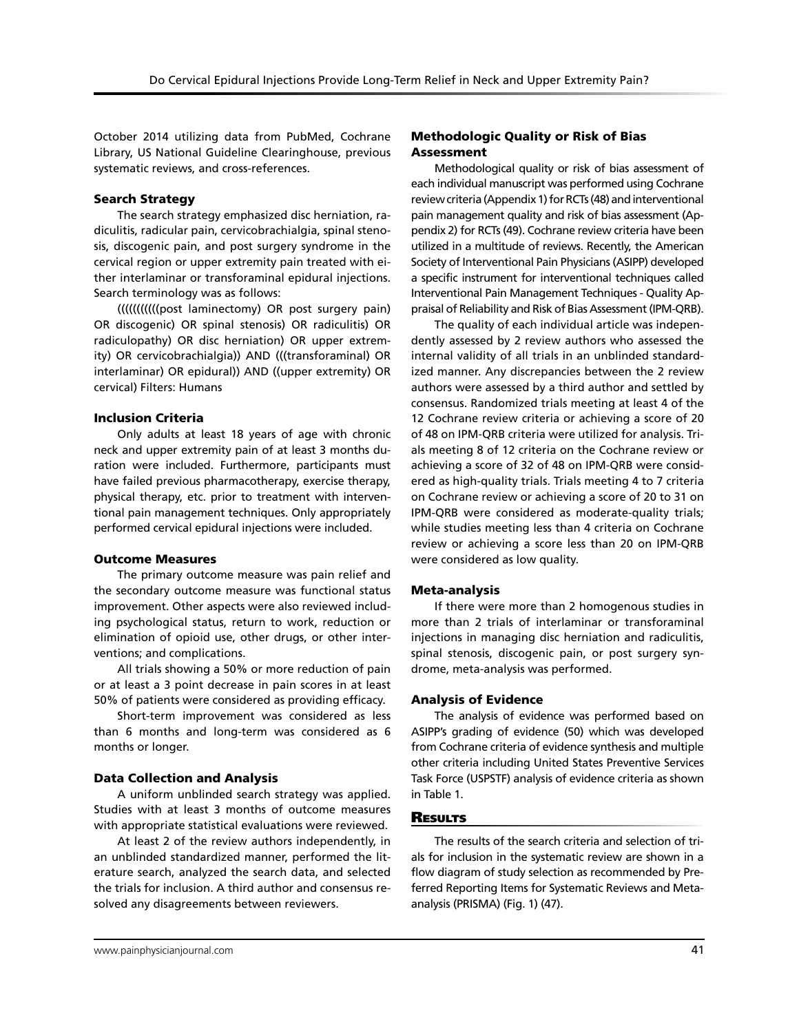October 2014 utilizing data from PubMed, Cochrane Library, US National Guideline Clearinghouse, previous systematic reviews, and cross-references.

### Search Strategy

The search strategy emphasized disc herniation, radiculitis, radicular pain, cervicobrachialgia, spinal stenosis, discogenic pain, and post surgery syndrome in the cervical region or upper extremity pain treated with either interlaminar or transforaminal epidural injections. Search terminology was as follows:

(((((((((((post laminectomy) OR post surgery pain) OR discogenic) OR spinal stenosis) OR radiculitis) OR radiculopathy) OR disc herniation) OR upper extremity) OR cervicobrachialgia)) AND (((transforaminal) OR interlaminar) OR epidural)) AND ((upper extremity) OR cervical) Filters: Humans

### Inclusion Criteria

Only adults at least 18 years of age with chronic neck and upper extremity pain of at least 3 months duration were included. Furthermore, participants must have failed previous pharmacotherapy, exercise therapy, physical therapy, etc. prior to treatment with interventional pain management techniques. Only appropriately performed cervical epidural injections were included.

### Outcome Measures

The primary outcome measure was pain relief and the secondary outcome measure was functional status improvement. Other aspects were also reviewed including psychological status, return to work, reduction or elimination of opioid use, other drugs, or other interventions; and complications.

All trials showing a 50% or more reduction of pain or at least a 3 point decrease in pain scores in at least 50% of patients were considered as providing efficacy.

Short-term improvement was considered as less than 6 months and long-term was considered as 6 months or longer.

### Data Collection and Analysis

A uniform unblinded search strategy was applied. Studies with at least 3 months of outcome measures with appropriate statistical evaluations were reviewed.

At least 2 of the review authors independently, in an unblinded standardized manner, performed the literature search, analyzed the search data, and selected the trials for inclusion. A third author and consensus resolved any disagreements between reviewers.

# Methodologic Quality or Risk of Bias Assessment

Methodological quality or risk of bias assessment of each individual manuscript was performed using Cochrane review criteria (Appendix 1) for RCTs (48) and interventional pain management quality and risk of bias assessment (Appendix 2) for RCTs (49). Cochrane review criteria have been utilized in a multitude of reviews. Recently, the American Society of Interventional Pain Physicians (ASIPP) developed a specific instrument for interventional techniques called Interventional Pain Management Techniques - Quality Appraisal of Reliability and Risk of Bias Assessment (IPM-QRB).

The quality of each individual article was independently assessed by 2 review authors who assessed the internal validity of all trials in an unblinded standardized manner. Any discrepancies between the 2 review authors were assessed by a third author and settled by consensus. Randomized trials meeting at least 4 of the 12 Cochrane review criteria or achieving a score of 20 of 48 on IPM-QRB criteria were utilized for analysis. Trials meeting 8 of 12 criteria on the Cochrane review or achieving a score of 32 of 48 on IPM-QRB were considered as high-quality trials. Trials meeting 4 to 7 criteria on Cochrane review or achieving a score of 20 to 31 on IPM-QRB were considered as moderate-quality trials; while studies meeting less than 4 criteria on Cochrane review or achieving a score less than 20 on IPM-QRB were considered as low quality.

### Meta-analysis

If there were more than 2 homogenous studies in more than 2 trials of interlaminar or transforaminal injections in managing disc herniation and radiculitis, spinal stenosis, discogenic pain, or post surgery syndrome, meta-analysis was performed.

### Analysis of Evidence

The analysis of evidence was performed based on ASIPP's grading of evidence (50) which was developed from Cochrane criteria of evidence synthesis and multiple other criteria including United States Preventive Services Task Force (USPSTF) analysis of evidence criteria as shown in Table 1.

### **RESULTS**

The results of the search criteria and selection of trials for inclusion in the systematic review are shown in a flow diagram of study selection as recommended by Preferred Reporting Items for Systematic Reviews and Metaanalysis (PRISMA) (Fig. 1) (47).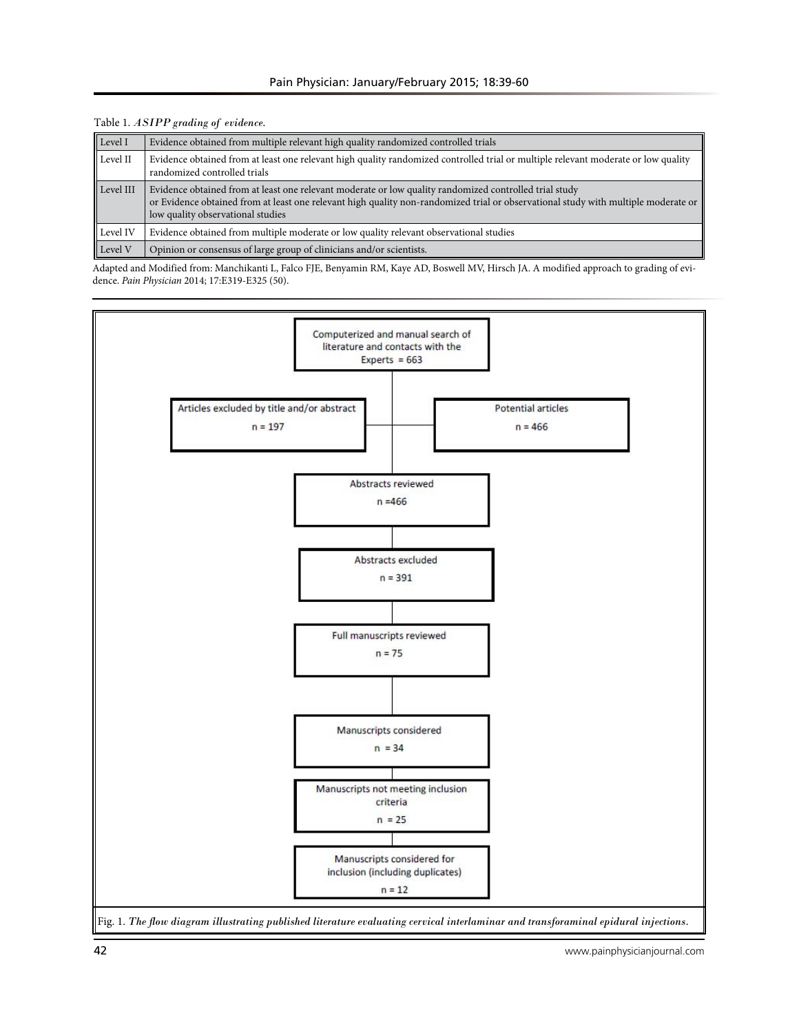| Level I   | Evidence obtained from multiple relevant high quality randomized controlled trials                                                                                                                                                                                                |
|-----------|-----------------------------------------------------------------------------------------------------------------------------------------------------------------------------------------------------------------------------------------------------------------------------------|
| Level II  | Evidence obtained from at least one relevant high quality randomized controlled trial or multiple relevant moderate or low quality<br>randomized controlled trials                                                                                                                |
| Level III | Evidence obtained from at least one relevant moderate or low quality randomized controlled trial study<br>or Evidence obtained from at least one relevant high quality non-randomized trial or observational study with multiple moderate or<br>low quality observational studies |
| Level IV  | Evidence obtained from multiple moderate or low quality relevant observational studies                                                                                                                                                                                            |
| Level V   | Opinion or consensus of large group of clinicians and/or scientists.                                                                                                                                                                                                              |

Table 1. *ASIPP grading of evidence.*

Adapted and Modified from: Manchikanti L, Falco FJE, Benyamin RM, Kaye AD, Boswell MV, Hirsch JA. A modified approach to grading of evidence. *Pain Physician* 2014; 17:E319-E325 (50).

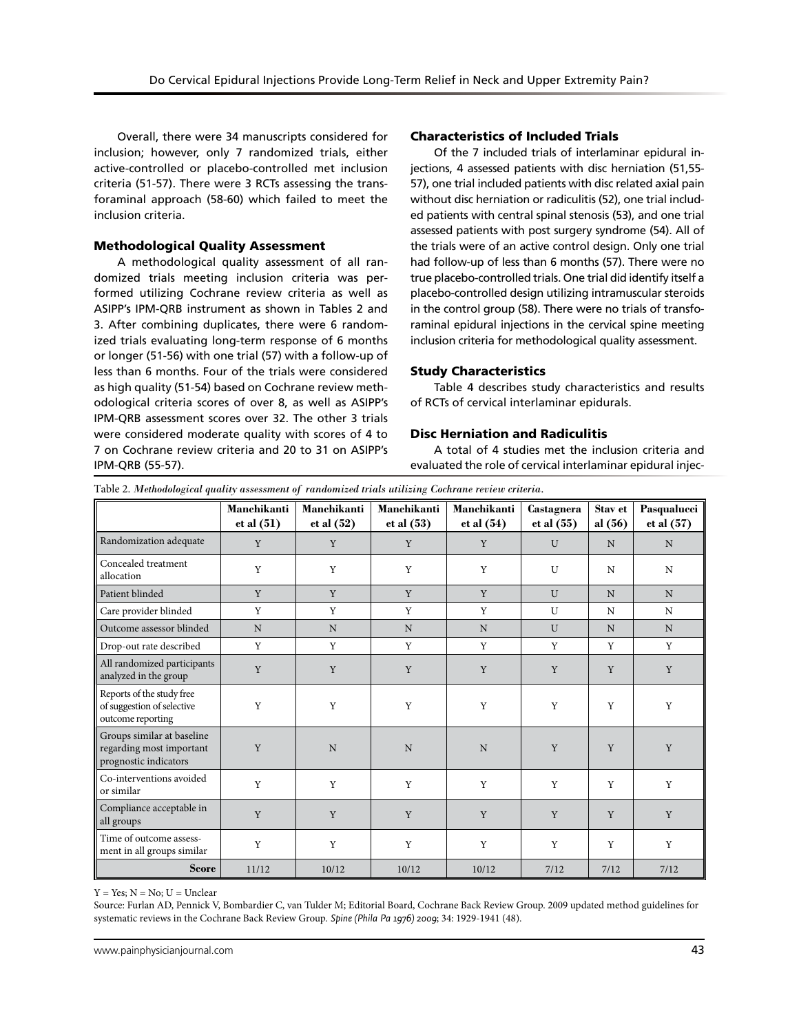Overall, there were 34 manuscripts considered for inclusion; however, only 7 randomized trials, either active-controlled or placebo-controlled met inclusion criteria (51-57). There were 3 RCTs assessing the transforaminal approach (58-60) which failed to meet the inclusion criteria.

# Methodological Quality Assessment

A methodological quality assessment of all randomized trials meeting inclusion criteria was performed utilizing Cochrane review criteria as well as ASIPP's IPM-QRB instrument as shown in Tables 2 and 3. After combining duplicates, there were 6 randomized trials evaluating long-term response of 6 months or longer (51-56) with one trial (57) with a follow-up of less than 6 months. Four of the trials were considered as high quality (51-54) based on Cochrane review methodological criteria scores of over 8, as well as ASIPP's IPM-QRB assessment scores over 32. The other 3 trials were considered moderate quality with scores of 4 to 7 on Cochrane review criteria and 20 to 31 on ASIPP's IPM-QRB (55-57).

# Characteristics of Included Trials

Of the 7 included trials of interlaminar epidural injections, 4 assessed patients with disc herniation (51,55- 57), one trial included patients with disc related axial pain without disc herniation or radiculitis (52), one trial included patients with central spinal stenosis (53), and one trial assessed patients with post surgery syndrome (54). All of the trials were of an active control design. Only one trial had follow-up of less than 6 months (57). There were no true placebo-controlled trials. One trial did identify itself a placebo-controlled design utilizing intramuscular steroids in the control group (58). There were no trials of transforaminal epidural injections in the cervical spine meeting inclusion criteria for methodological quality assessment.

# Study Characteristics

Table 4 describes study characteristics and results of RCTs of cervical interlaminar epidurals.

# Disc Herniation and Radiculitis

A total of 4 studies met the inclusion criteria and evaluated the role of cervical interlaminar epidural injec-

| Table 2. Methodological quality assessment of randomized trials utilizing Cochrane review criteria. |  |  |  |
|-----------------------------------------------------------------------------------------------------|--|--|--|
|                                                                                                     |  |  |  |

|                                                                                 | Manchikanti<br>et al (51) | <b>Manchikanti</b><br>et al $(52)$ | Manchikanti<br>et al (53) | Manchikanti<br>et al $(54)$ | Castagnera<br>et al (55) | Stav et<br>al $(56)$ | Pasqualucci<br>et al (57) |
|---------------------------------------------------------------------------------|---------------------------|------------------------------------|---------------------------|-----------------------------|--------------------------|----------------------|---------------------------|
| Randomization adequate                                                          | Y                         | Y                                  | Y                         | Y                           | U                        | N                    | N                         |
| Concealed treatment<br>allocation                                               | Y                         | Y                                  | Y                         | Y                           | U                        | N                    | N                         |
| Patient blinded                                                                 | Y                         | Y                                  | Y                         | Y                           | U                        | N                    | N                         |
| Care provider blinded                                                           | Y                         | Y                                  | Y                         | Y                           | U                        | N                    | N                         |
| Outcome assessor blinded                                                        | $\mathbf N$               | $\mathbf N$                        | N                         | $\mathbf N$                 | U                        | N                    | N                         |
| Drop-out rate described                                                         | Y                         | Y                                  | Y                         | Y                           | Y                        | Y                    | Y                         |
| All randomized participants<br>analyzed in the group                            | Y                         | Y                                  | Y                         | Y                           | Y                        | Y                    | Y                         |
| Reports of the study free<br>of suggestion of selective<br>outcome reporting    | Y                         | Y                                  | Y                         | Y                           | Y                        | Y                    | Y                         |
| Groups similar at baseline<br>regarding most important<br>prognostic indicators | Y                         | $\mathbf N$                        | N                         | $\mathbf N$                 | Y                        | Y                    | Y                         |
| Co-interventions avoided<br>or similar                                          | Y                         | Y                                  | Y                         | Y                           | Y                        | Y                    | Y                         |
| Compliance acceptable in<br>all groups                                          | Y                         | Y                                  | Y                         | Y                           | Y                        | Y                    | Y                         |
| Time of outcome assess-<br>ment in all groups similar                           | Y                         | Y                                  | Y                         | Y                           | Y                        | Y                    | Y                         |
| <b>Score</b>                                                                    | 11/12                     | 10/12                              | 10/12                     | 10/12                       | 7/12                     | 7/12                 | 7/12                      |

 $Y = Yes: N = No: U = Unclear$ 

Source: Furlan AD, Pennick V, Bombardier C, van Tulder M; Editorial Board, Cochrane Back Review Group. 2009 updated method guidelines for systematic reviews in the Cochrane Back Review Group. *Spine (Phila Pa 1976) 2009*; 34: 1929-1941 (48).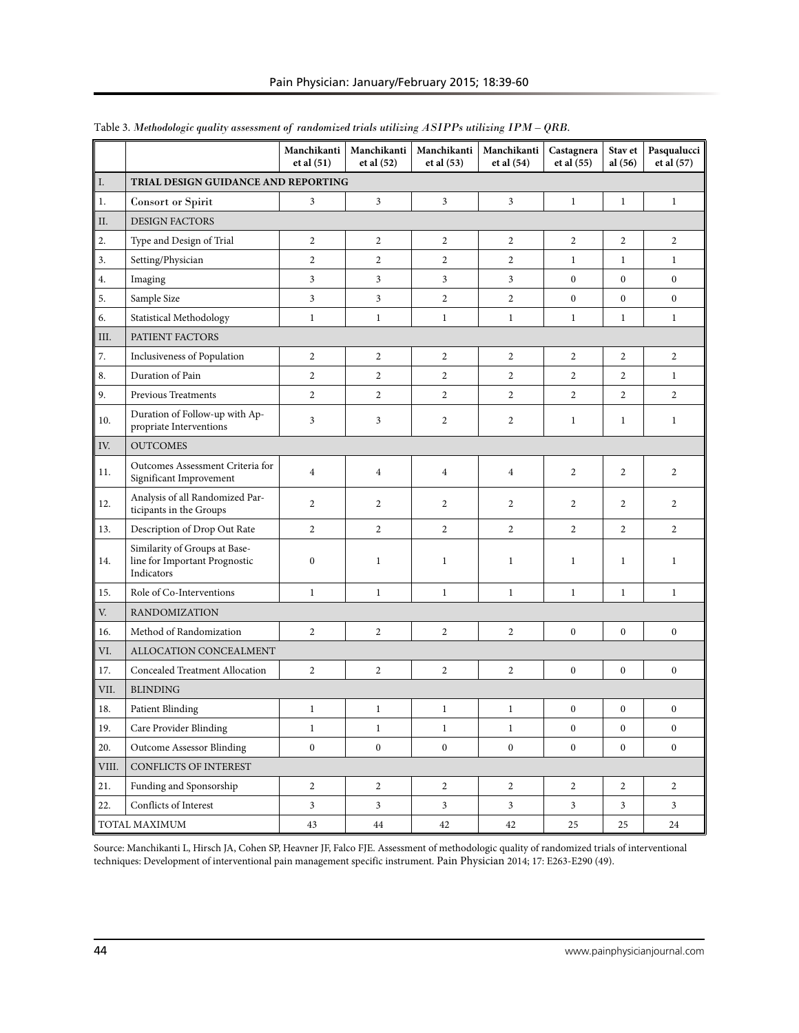|       |                                                                              | Manchikanti<br>et al (51) | Manchikanti<br>et al (52) | Manchikanti<br>et al (53) | Manchikanti<br>et al (54) | Castagnera<br>et al $(55)$ | Stav et<br>al $(56)$ | Pasqualucci<br>et al (57) |
|-------|------------------------------------------------------------------------------|---------------------------|---------------------------|---------------------------|---------------------------|----------------------------|----------------------|---------------------------|
| I.    | TRIAL DESIGN GUIDANCE AND REPORTING                                          |                           |                           |                           |                           |                            |                      |                           |
| $1.$  | <b>Consort</b> or Spirit                                                     | 3                         | 3                         | 3                         | 3                         | 1                          | $\mathbf{1}$         | $\mathbf{1}$              |
| II.   | <b>DESIGN FACTORS</b>                                                        |                           |                           |                           |                           |                            |                      |                           |
| 2.    | Type and Design of Trial                                                     | 2                         | $\overline{c}$            | $\overline{c}$            | $\overline{c}$            | 2                          | 2                    | $\overline{c}$            |
| 3.    | Setting/Physician                                                            | $\overline{c}$            | $\overline{c}$            | $\overline{c}$            | $\overline{c}$            | 1                          | $\mathbf{1}$         | $\mathbf{1}$              |
| 4.    | Imaging                                                                      | 3                         | 3                         | 3                         | $\mathfrak{Z}$            | $\boldsymbol{0}$           | $\mathbf{0}$         | $\overline{0}$            |
| 5.    | Sample Size                                                                  | 3                         | 3                         | $\overline{c}$            | $\overline{c}$            | $\boldsymbol{0}$           | $\boldsymbol{0}$     | $\boldsymbol{0}$          |
| 6.    | Statistical Methodology                                                      | $\mathbf{1}$              | $\mathbf{1}$              | $\mathbf{1}$              | $\mathbf{1}$              | $\mathbf{1}$               | $\mathbf{1}$         | $\mathbf{1}$              |
| III.  | PATIENT FACTORS                                                              |                           |                           |                           |                           |                            |                      |                           |
| 7.    | Inclusiveness of Population                                                  | $\overline{2}$            | $\overline{2}$            | 2                         | $\overline{2}$            | $\overline{c}$             | $\overline{2}$       | $\overline{2}$            |
| 8.    | Duration of Pain                                                             | $\overline{c}$            | $\overline{c}$            | $\overline{c}$            | $\overline{2}$            | $\overline{c}$             | $\overline{c}$       | $\mathbf{1}$              |
| 9.    | <b>Previous Treatments</b>                                                   | $\overline{c}$            | $\overline{2}$            | $\overline{c}$            | $\overline{2}$            | $\overline{c}$             | $\overline{c}$       | $\overline{c}$            |
| 10.   | Duration of Follow-up with Ap-<br>propriate Interventions                    | 3                         | 3                         | $\boldsymbol{2}$          | 2                         | $\mathbf{1}$               | $\mathbf{1}$         | $\mathbf{1}$              |
| IV.   | <b>OUTCOMES</b>                                                              |                           |                           |                           |                           |                            |                      |                           |
| 11.   | Outcomes Assessment Criteria for<br>Significant Improvement                  | $\overline{4}$            | $\overline{4}$            | $\overline{4}$            | $\overline{4}$            | 2                          | 2                    | 2                         |
| 12.   | Analysis of all Randomized Par-<br>ticipants in the Groups                   | $\overline{2}$            | 2                         | 2                         | 2                         | 2                          | 2                    | 2                         |
| 13.   | Description of Drop Out Rate                                                 | $\overline{2}$            | $\overline{2}$            | $\overline{2}$            | $\overline{2}$            | $\overline{2}$             | $\overline{2}$       | $\overline{2}$            |
| 14.   | Similarity of Groups at Base-<br>line for Important Prognostic<br>Indicators | $\boldsymbol{0}$          | 1                         | $\mathbf{1}$              | $\mathbf{1}$              | 1                          | $\mathbf{1}$         | $\mathbf{1}$              |
| 15.   | Role of Co-Interventions                                                     | $\mathbf{1}$              | $\mathbf{1}$              | $\mathbf{1}$              | $\mathbf{1}$              | $\mathbf{1}$               | $\mathbf{1}$         | $\mathbf{1}$              |
| V.    | <b>RANDOMIZATION</b>                                                         |                           |                           |                           |                           |                            |                      |                           |
| 16.   | Method of Randomization                                                      | $\overline{2}$            | $\overline{2}$            | $\overline{c}$            | $\overline{2}$            | $\boldsymbol{0}$           | $\boldsymbol{0}$     | $\boldsymbol{0}$          |
| VI.   | ALLOCATION CONCEALMENT                                                       |                           |                           |                           |                           |                            |                      |                           |
| 17.   | <b>Concealed Treatment Allocation</b>                                        | $\overline{c}$            | $\mathbf{2}$              | $\overline{c}$            | $\overline{c}$            | $\boldsymbol{0}$           | $\boldsymbol{0}$     | $\boldsymbol{0}$          |
| VII.  | <b>BLINDING</b>                                                              |                           |                           |                           |                           |                            |                      |                           |
| 18.   | <b>Patient Blinding</b>                                                      | $\mathbf{1}$              | $\mathbf{1}$              | $\mathbf{1}$              | $\mathbf{1}$              | $\boldsymbol{0}$           | $\boldsymbol{0}$     | $\boldsymbol{0}$          |
| 19.   | Care Provider Blinding                                                       | $\mathbf{1}$              | $\mathbf{1}$              | $\mathbf{1}$              | $\mathbf{1}$              | $\bf{0}$                   | $\boldsymbol{0}$     | $\boldsymbol{0}$          |
| 20.   | <b>Outcome Assessor Blinding</b>                                             | $\overline{0}$            | $\overline{0}$            | $\mathbf{0}$              | $\mathbf{0}$              | $\mathbf 0$                | $\boldsymbol{0}$     | $\overline{0}$            |
| VIII. | CONFLICTS OF INTEREST                                                        |                           |                           |                           |                           |                            |                      |                           |
| 21.   | Funding and Sponsorship                                                      | $\overline{c}$            | $\overline{c}$            | $\overline{c}$            | $\overline{2}$            | $\overline{c}$             | $\overline{c}$       | $\overline{c}$            |
| 22.   | Conflicts of Interest                                                        | 3                         | $\mathfrak{Z}$            | $\sqrt{3}$                | $\mathbf{3}$              | 3                          | 3                    | 3                         |
|       | TOTAL MAXIMUM                                                                | 43                        | 44                        | 42                        | 42                        | 25                         | 25                   | 24                        |

# Table 3. *Methodologic quality assessment of randomized trials utilizing ASIPPs utilizing IPM – QRB.*

Source: Manchikanti L, Hirsch JA, Cohen SP, Heavner JF, Falco FJE. Assessment of methodologic quality of randomized trials of interventional techniques: Development of interventional pain management specific instrument. Pain Physician 2014; 17: E263-E290 (49).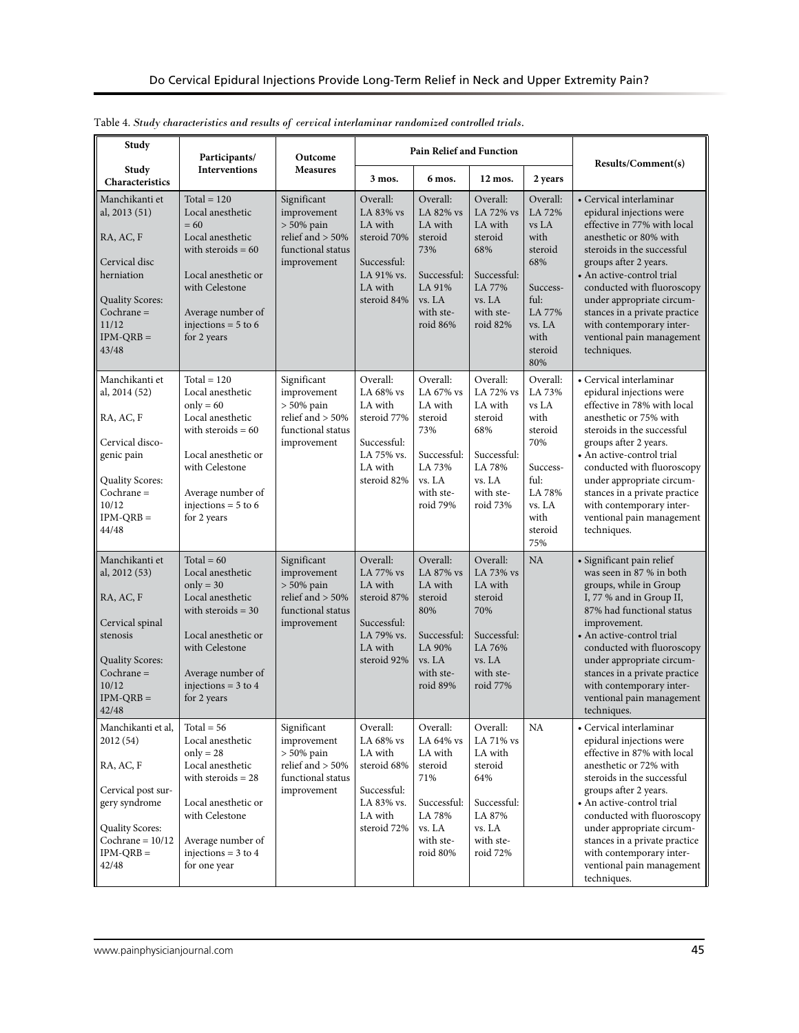| Study                                                                                                                                                       | Participants/                                                                                                                                                                                        | Outcome                                                                                                |                                                                                                        | <b>Pain Relief and Function</b>                                                                                |                                                                                                                 |                                                                                                                         | Results/Comment(s)                                                                                                                                                                                                                                                                                                                                                   |
|-------------------------------------------------------------------------------------------------------------------------------------------------------------|------------------------------------------------------------------------------------------------------------------------------------------------------------------------------------------------------|--------------------------------------------------------------------------------------------------------|--------------------------------------------------------------------------------------------------------|----------------------------------------------------------------------------------------------------------------|-----------------------------------------------------------------------------------------------------------------|-------------------------------------------------------------------------------------------------------------------------|----------------------------------------------------------------------------------------------------------------------------------------------------------------------------------------------------------------------------------------------------------------------------------------------------------------------------------------------------------------------|
| Study<br>Characteristics                                                                                                                                    | <b>Interventions</b>                                                                                                                                                                                 | <b>Measures</b>                                                                                        | 3 mos.                                                                                                 | 6 mos.                                                                                                         | 12 mos.                                                                                                         | 2 years                                                                                                                 |                                                                                                                                                                                                                                                                                                                                                                      |
| Manchikanti et<br>al, 2013 (51)<br>RA, AC, F<br>Cervical disc<br>herniation<br><b>Quality Scores:</b><br>$Cochrane =$<br>11/12<br>$IPM-QRB =$<br>43/48      | $Total = 120$<br>Local anesthetic<br>$= 60$<br>Local anesthetic<br>with steroids $= 60$<br>Local anesthetic or<br>with Celestone<br>Average number of<br>injections = $5$ to 6<br>for 2 years        | Significant<br>improvement<br>$> 50\%$ pain<br>relief and $> 50\%$<br>functional status<br>improvement | Overall:<br>LA 83% vs<br>LA with<br>steroid 70%<br>Successful:<br>LA 91% vs.<br>LA with<br>steroid 84% | Overall:<br>LA 82% vs<br>LA with<br>steroid<br>73%<br>Successful:<br>LA 91%<br>vs. LA<br>with ste-<br>roid 86% | Overall:<br>LA 72% vs<br>LA with<br>steroid<br>68%<br>Successful:<br>LA 77%<br>vs. LA<br>with ste-<br>roid 82%  | Overall:<br>LA 72%<br>vs LA<br>with<br>steroid<br>68%<br>Success-<br>ful:<br>LA 77%<br>vs. LA<br>with<br>steroid<br>80% | • Cervical interlaminar<br>epidural injections were<br>effective in 77% with local<br>anesthetic or 80% with<br>steroids in the successful<br>groups after 2 years.<br>• An active-control trial<br>conducted with fluoroscopy<br>under appropriate circum-<br>stances in a private practice<br>with contemporary inter-<br>ventional pain management<br>techniques. |
| Manchikanti et<br>al, 2014 (52)<br>RA, AC, F<br>Cervical disco-<br>genic pain<br><b>Quality Scores:</b><br>$Cochrane =$<br>10/12<br>$IPM-QRB =$<br>44/48    | Total = $120$<br>Local anesthetic<br>$only = 60$<br>Local anesthetic<br>with steroids $= 60$<br>Local anesthetic or<br>with Celestone<br>Average number of<br>injections = $5$ to $6$<br>for 2 years | Significant<br>improvement<br>$> 50\%$ pain<br>relief and $> 50\%$<br>functional status<br>improvement | Overall:<br>LA 68% vs<br>LA with<br>steroid 77%<br>Successful:<br>LA 75% vs.<br>LA with<br>steroid 82% | Overall:<br>LA 67% vs<br>LA with<br>steroid<br>73%<br>Successful:<br>LA 73%<br>vs. LA<br>with ste-<br>roid 79% | Overall:<br>LA 72% vs<br>LA with<br>steroid<br>68%<br>Successful:<br>LA 78%<br>vs. LA<br>with ste-<br>roid 73%  | Overall:<br>LA 73%<br>vs LA<br>with<br>steroid<br>70%<br>Success-<br>ful:<br>LA 78%<br>vs. LA<br>with<br>steroid<br>75% | • Cervical interlaminar<br>epidural injections were<br>effective in 78% with local<br>anesthetic or 75% with<br>steroids in the successful<br>groups after 2 years.<br>• An active-control trial<br>conducted with fluoroscopy<br>under appropriate circum-<br>stances in a private practice<br>with contemporary inter-<br>ventional pain management<br>techniques. |
| Manchikanti et<br>al, 2012 (53)<br>RA, AC, F<br>Cervical spinal<br>stenosis<br><b>Quality Scores:</b><br>$Cochrane =$<br>10/12<br>$IPM-QRB =$<br>42/48      | Total = $60$<br>Local anesthetic<br>$only = 30$<br>Local anesthetic<br>with steroids $=$ 30<br>Local anesthetic or<br>with Celestone<br>Average number of<br>injections = $3$ to $4$<br>for 2 years  | Significant<br>improvement<br>$> 50\%$ pain<br>relief and $> 50\%$<br>functional status<br>improvement | Overall:<br>LA 77% vs<br>LA with<br>steroid 87%<br>Successful:<br>LA 79% vs.<br>LA with<br>steroid 92% | Overall:<br>LA 87% vs<br>LA with<br>steroid<br>80%<br>Successful:<br>LA 90%<br>vs. LA<br>with ste-<br>roid 89% | Overall:<br>LA 73% vs<br>LA with<br>steroid<br>70%<br>Successful:<br>LA 76%<br>vs. I.A<br>with ste-<br>roid 77% | NA                                                                                                                      | · Significant pain relief<br>was seen in 87 % in both<br>groups, while in Group<br>I, 77 % and in Group II,<br>87% had functional status<br>improvement.<br>• An active-control trial<br>conducted with fluoroscopy<br>under appropriate circum-<br>stances in a private practice<br>with contemporary inter-<br>ventional pain management<br>techniques.            |
| Manchikanti et al,<br>2012 (54)<br>RA, AC, F<br>Cervical post sur-<br>gery syndrome<br><b>Quality Scores:</b><br>Cochrane = $10/12$<br>$IPM-QRB =$<br>42/48 | $Total = 56$<br>Local anesthetic<br>$only = 28$<br>Local anesthetic<br>with steroids $= 28$<br>Local anesthetic or<br>with Celestone<br>Average number of<br>injections = $3$ to $4$<br>for one year | Significant<br>improvement<br>$> 50\%$ pain<br>relief and $> 50\%$<br>functional status<br>improvement | Overall:<br>LA 68% vs<br>LA with<br>steroid 68%<br>Successful:<br>LA 83% vs.<br>LA with<br>steroid 72% | Overall:<br>LA 64% vs<br>LA with<br>steroid<br>71%<br>Successful:<br>LA 78%<br>vs. LA<br>with ste-<br>roid 80% | Overall:<br>LA 71% vs<br>LA with<br>steroid<br>64%<br>Successful:<br>LA 87%<br>vs. LA<br>with ste-<br>roid 72%  | NA                                                                                                                      | • Cervical interlaminar<br>epidural injections were<br>effective in 87% with local<br>anesthetic or 72% with<br>steroids in the successful<br>groups after 2 years.<br>• An active-control trial<br>conducted with fluoroscopy<br>under appropriate circum-<br>stances in a private practice<br>with contemporary inter-<br>ventional pain management<br>techniques. |

|  |  |  | Table 4. Study characteristics and results of cervical interlaminar randomized controlled trials. |
|--|--|--|---------------------------------------------------------------------------------------------------|
|  |  |  |                                                                                                   |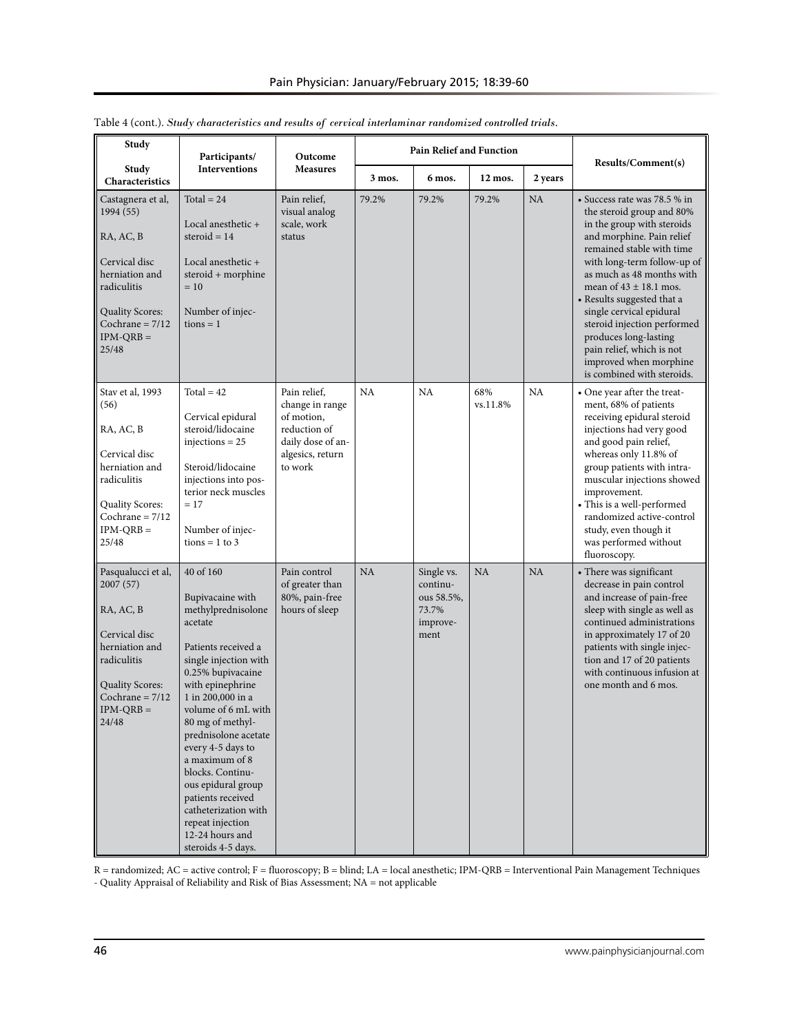| Study                                                                                                                                                                 | Participants/                                                                                                                                                                                                                                                                                                                                                                                                                              | Outcome                                                                                                           | <b>Pain Relief and Function</b> |                                                                   | Results/Comment(s) |           |                                                                                                                                                                                                                                                                                                                                                                                                                                                    |
|-----------------------------------------------------------------------------------------------------------------------------------------------------------------------|--------------------------------------------------------------------------------------------------------------------------------------------------------------------------------------------------------------------------------------------------------------------------------------------------------------------------------------------------------------------------------------------------------------------------------------------|-------------------------------------------------------------------------------------------------------------------|---------------------------------|-------------------------------------------------------------------|--------------------|-----------|----------------------------------------------------------------------------------------------------------------------------------------------------------------------------------------------------------------------------------------------------------------------------------------------------------------------------------------------------------------------------------------------------------------------------------------------------|
| Study<br>Characteristics                                                                                                                                              | <b>Interventions</b>                                                                                                                                                                                                                                                                                                                                                                                                                       | <b>Measures</b>                                                                                                   | 3 mos.                          | 6 mos.                                                            | 12 mos.            | 2 years   |                                                                                                                                                                                                                                                                                                                                                                                                                                                    |
| Castagnera et al,<br>1994 (55)<br>RA, AC, B<br>Cervical disc<br>herniation and<br>radiculitis<br><b>Quality Scores:</b><br>Cochrane = $7/12$<br>$IPM-QRB =$<br>25/48  | Total = $24$<br>Local anesthetic +<br>steroid $= 14$<br>Local anesthetic +<br>steroid + morphine<br>$=10$<br>Number of injec-<br>$tions = 1$                                                                                                                                                                                                                                                                                               | Pain relief,<br>visual analog<br>scale, work<br>status                                                            | 79.2%                           | 79.2%                                                             | 79.2%              | <b>NA</b> | • Success rate was 78.5 % in<br>the steroid group and 80%<br>in the group with steroids<br>and morphine. Pain relief<br>remained stable with time<br>with long-term follow-up of<br>as much as 48 months with<br>mean of $43 \pm 18.1$ mos.<br>• Results suggested that a<br>single cervical epidural<br>steroid injection performed<br>produces long-lasting<br>pain relief, which is not<br>improved when morphine<br>is combined with steroids. |
| Stav et al, 1993<br>(56)<br>RA, AC, B<br>Cervical disc<br>herniation and<br>radiculitis<br><b>Quality Scores:</b><br>Cochrane = $7/12$<br>$IPM-QRB =$<br>25/48        | Total = $42$<br>Cervical epidural<br>steroid/lidocaine<br>injections = $25$<br>Steroid/lidocaine<br>injections into pos-<br>terior neck muscles<br>$= 17$<br>Number of injec-<br>$tions = 1 to 3$                                                                                                                                                                                                                                          | Pain relief,<br>change in range<br>of motion,<br>reduction of<br>daily dose of an-<br>algesics, return<br>to work | <b>NA</b>                       | NA                                                                | 68%<br>vs.11.8%    | NA        | • One year after the treat-<br>ment, 68% of patients<br>receiving epidural steroid<br>injections had very good<br>and good pain relief,<br>whereas only 11.8% of<br>group patients with intra-<br>muscular injections showed<br>improvement.<br>• This is a well-performed<br>randomized active-control<br>study, even though it<br>was performed without<br>fluoroscopy.                                                                          |
| Pasqualucci et al,<br>2007 (57)<br>RA, AC, B<br>Cervical disc<br>herniation and<br>radiculitis<br><b>Quality Scores:</b><br>Cochrane = $7/12$<br>$IPM-QRB =$<br>24/48 | 40 of 160<br>Bupivacaine with<br>methylprednisolone<br>acetate<br>Patients received a<br>single injection with<br>0.25% bupivacaine<br>with epinephrine<br>1 in 200,000 in a<br>volume of 6 mL with<br>80 mg of methyl-<br>prednisolone acetate<br>every 4-5 days to<br>a maximum of 8<br>blocks. Continu-<br>ous epidural group<br>patients received<br>catheterization with<br>repeat injection<br>12-24 hours and<br>steroids 4-5 days. | Pain control<br>of greater than<br>80%, pain-free<br>hours of sleep                                               | <b>NA</b>                       | Single vs.<br>continu-<br>ous 58.5%,<br>73.7%<br>improve-<br>ment | NA                 | NA        | • There was significant<br>decrease in pain control<br>and increase of pain-free<br>sleep with single as well as<br>continued administrations<br>in approximately 17 of 20<br>patients with single injec-<br>tion and 17 of 20 patients<br>with continuous infusion at<br>one month and 6 mos.                                                                                                                                                     |

Table 4 (cont.). *Study characteristics and results of cervical interlaminar randomized controlled trials.*

R = randomized; AC = active control; F = fluoroscopy; B = blind; LA = local anesthetic; IPM-QRB = Interventional Pain Management Techniques - Quality Appraisal of Reliability and Risk of Bias Assessment; NA = not applicable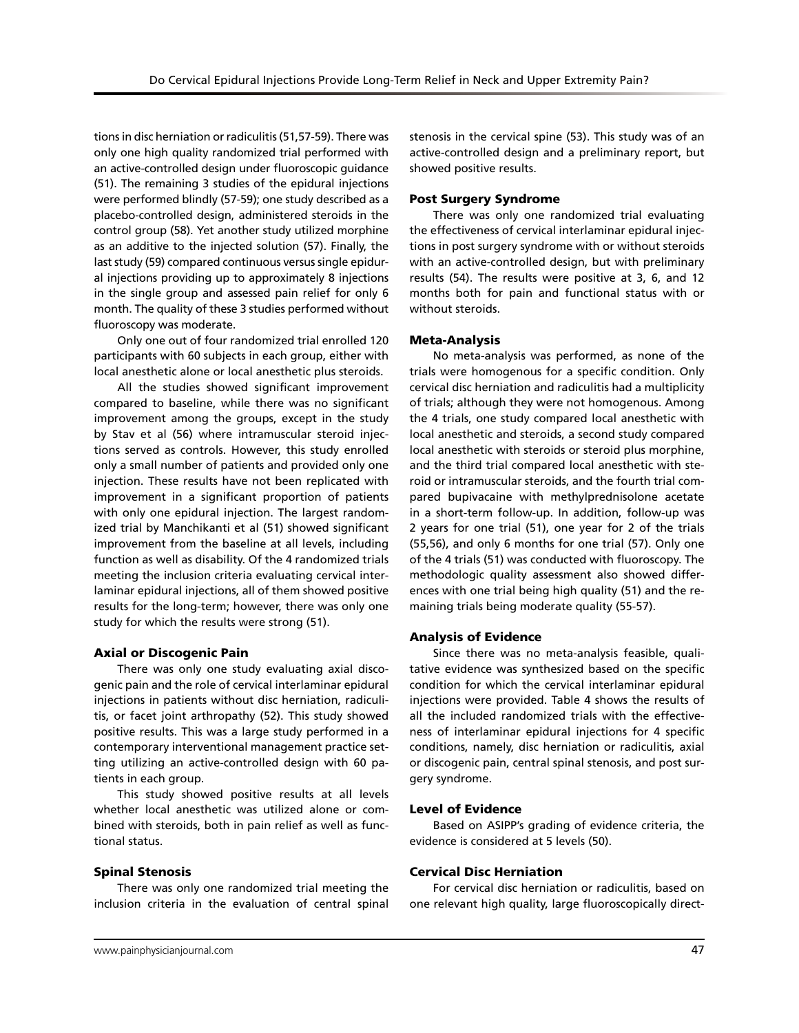tions in disc herniation or radiculitis (51,57-59). There was only one high quality randomized trial performed with an active-controlled design under fluoroscopic guidance (51). The remaining 3 studies of the epidural injections were performed blindly (57-59); one study described as a placebo-controlled design, administered steroids in the control group (58). Yet another study utilized morphine as an additive to the injected solution (57). Finally, the last study (59) compared continuous versus single epidural injections providing up to approximately 8 injections in the single group and assessed pain relief for only 6 month. The quality of these 3 studies performed without fluoroscopy was moderate.

Only one out of four randomized trial enrolled 120 participants with 60 subjects in each group, either with local anesthetic alone or local anesthetic plus steroids.

All the studies showed significant improvement compared to baseline, while there was no significant improvement among the groups, except in the study by Stav et al (56) where intramuscular steroid injections served as controls. However, this study enrolled only a small number of patients and provided only one injection. These results have not been replicated with improvement in a significant proportion of patients with only one epidural injection. The largest randomized trial by Manchikanti et al (51) showed significant improvement from the baseline at all levels, including function as well as disability. Of the 4 randomized trials meeting the inclusion criteria evaluating cervical interlaminar epidural injections, all of them showed positive results for the long-term; however, there was only one study for which the results were strong (51).

#### Axial or Discogenic Pain

There was only one study evaluating axial discogenic pain and the role of cervical interlaminar epidural injections in patients without disc herniation, radiculitis, or facet joint arthropathy (52). This study showed positive results. This was a large study performed in a contemporary interventional management practice setting utilizing an active-controlled design with 60 patients in each group.

This study showed positive results at all levels whether local anesthetic was utilized alone or combined with steroids, both in pain relief as well as functional status.

### Spinal Stenosis

There was only one randomized trial meeting the inclusion criteria in the evaluation of central spinal stenosis in the cervical spine (53). This study was of an active-controlled design and a preliminary report, but showed positive results.

### Post Surgery Syndrome

There was only one randomized trial evaluating the effectiveness of cervical interlaminar epidural injections in post surgery syndrome with or without steroids with an active-controlled design, but with preliminary results (54). The results were positive at 3, 6, and 12 months both for pain and functional status with or without steroids.

#### Meta-Analysis

No meta-analysis was performed, as none of the trials were homogenous for a specific condition. Only cervical disc herniation and radiculitis had a multiplicity of trials; although they were not homogenous. Among the 4 trials, one study compared local anesthetic with local anesthetic and steroids, a second study compared local anesthetic with steroids or steroid plus morphine, and the third trial compared local anesthetic with steroid or intramuscular steroids, and the fourth trial compared bupivacaine with methylprednisolone acetate in a short-term follow-up. In addition, follow-up was 2 years for one trial (51), one year for 2 of the trials (55,56), and only 6 months for one trial (57). Only one of the 4 trials (51) was conducted with fluoroscopy. The methodologic quality assessment also showed differences with one trial being high quality (51) and the remaining trials being moderate quality (55-57).

### Analysis of Evidence

Since there was no meta-analysis feasible, qualitative evidence was synthesized based on the specific condition for which the cervical interlaminar epidural injections were provided. Table 4 shows the results of all the included randomized trials with the effectiveness of interlaminar epidural injections for 4 specific conditions, namely, disc herniation or radiculitis, axial or discogenic pain, central spinal stenosis, and post surgery syndrome.

#### Level of Evidence

Based on ASIPP's grading of evidence criteria, the evidence is considered at 5 levels (50).

### Cervical Disc Herniation

For cervical disc herniation or radiculitis, based on one relevant high quality, large fluoroscopically direct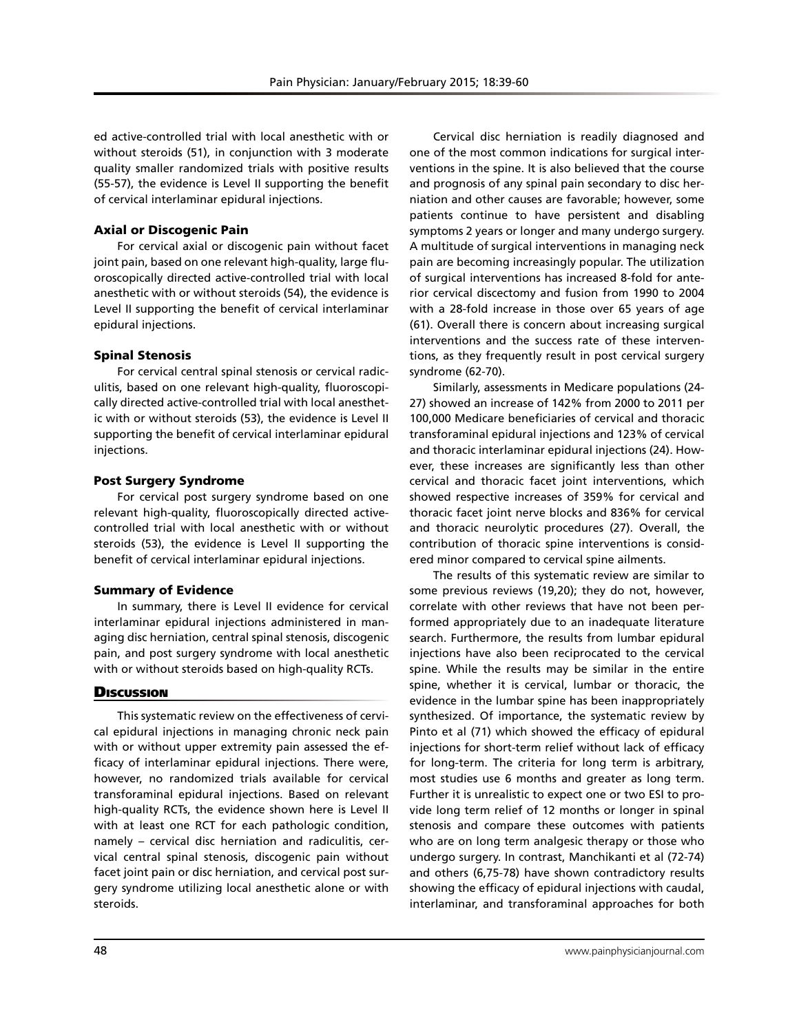ed active-controlled trial with local anesthetic with or without steroids (51), in conjunction with 3 moderate quality smaller randomized trials with positive results (55-57), the evidence is Level II supporting the benefit of cervical interlaminar epidural injections.

# Axial or Discogenic Pain

For cervical axial or discogenic pain without facet joint pain, based on one relevant high-quality, large fluoroscopically directed active-controlled trial with local anesthetic with or without steroids (54), the evidence is Level II supporting the benefit of cervical interlaminar epidural injections.

# Spinal Stenosis

For cervical central spinal stenosis or cervical radiculitis, based on one relevant high-quality, fluoroscopically directed active-controlled trial with local anesthetic with or without steroids (53), the evidence is Level II supporting the benefit of cervical interlaminar epidural injections.

# Post Surgery Syndrome

For cervical post surgery syndrome based on one relevant high-quality, fluoroscopically directed activecontrolled trial with local anesthetic with or without steroids (53), the evidence is Level II supporting the benefit of cervical interlaminar epidural injections.

# Summary of Evidence

In summary, there is Level II evidence for cervical interlaminar epidural injections administered in managing disc herniation, central spinal stenosis, discogenic pain, and post surgery syndrome with local anesthetic with or without steroids based on high-quality RCTs.

# **Discussion**

This systematic review on the effectiveness of cervical epidural injections in managing chronic neck pain with or without upper extremity pain assessed the efficacy of interlaminar epidural injections. There were, however, no randomized trials available for cervical transforaminal epidural injections. Based on relevant high-quality RCTs, the evidence shown here is Level II with at least one RCT for each pathologic condition, namely – cervical disc herniation and radiculitis, cervical central spinal stenosis, discogenic pain without facet joint pain or disc herniation, and cervical post surgery syndrome utilizing local anesthetic alone or with steroids.

Cervical disc herniation is readily diagnosed and one of the most common indications for surgical interventions in the spine. It is also believed that the course and prognosis of any spinal pain secondary to disc herniation and other causes are favorable; however, some patients continue to have persistent and disabling symptoms 2 years or longer and many undergo surgery. A multitude of surgical interventions in managing neck pain are becoming increasingly popular. The utilization of surgical interventions has increased 8-fold for anterior cervical discectomy and fusion from 1990 to 2004 with a 28-fold increase in those over 65 years of age (61). Overall there is concern about increasing surgical interventions and the success rate of these interventions, as they frequently result in post cervical surgery syndrome (62-70).

Similarly, assessments in Medicare populations (24- 27) showed an increase of 142% from 2000 to 2011 per 100,000 Medicare beneficiaries of cervical and thoracic transforaminal epidural injections and 123% of cervical and thoracic interlaminar epidural injections (24). However, these increases are significantly less than other cervical and thoracic facet joint interventions, which showed respective increases of 359% for cervical and thoracic facet joint nerve blocks and 836% for cervical and thoracic neurolytic procedures (27). Overall, the contribution of thoracic spine interventions is considered minor compared to cervical spine ailments.

The results of this systematic review are similar to some previous reviews (19,20); they do not, however, correlate with other reviews that have not been performed appropriately due to an inadequate literature search. Furthermore, the results from lumbar epidural injections have also been reciprocated to the cervical spine. While the results may be similar in the entire spine, whether it is cervical, lumbar or thoracic, the evidence in the lumbar spine has been inappropriately synthesized. Of importance, the systematic review by Pinto et al (71) which showed the efficacy of epidural injections for short-term relief without lack of efficacy for long-term. The criteria for long term is arbitrary, most studies use 6 months and greater as long term. Further it is unrealistic to expect one or two ESI to provide long term relief of 12 months or longer in spinal stenosis and compare these outcomes with patients who are on long term analgesic therapy or those who undergo surgery. In contrast, Manchikanti et al (72-74) and others (6,75-78) have shown contradictory results showing the efficacy of epidural injections with caudal, interlaminar, and transforaminal approaches for both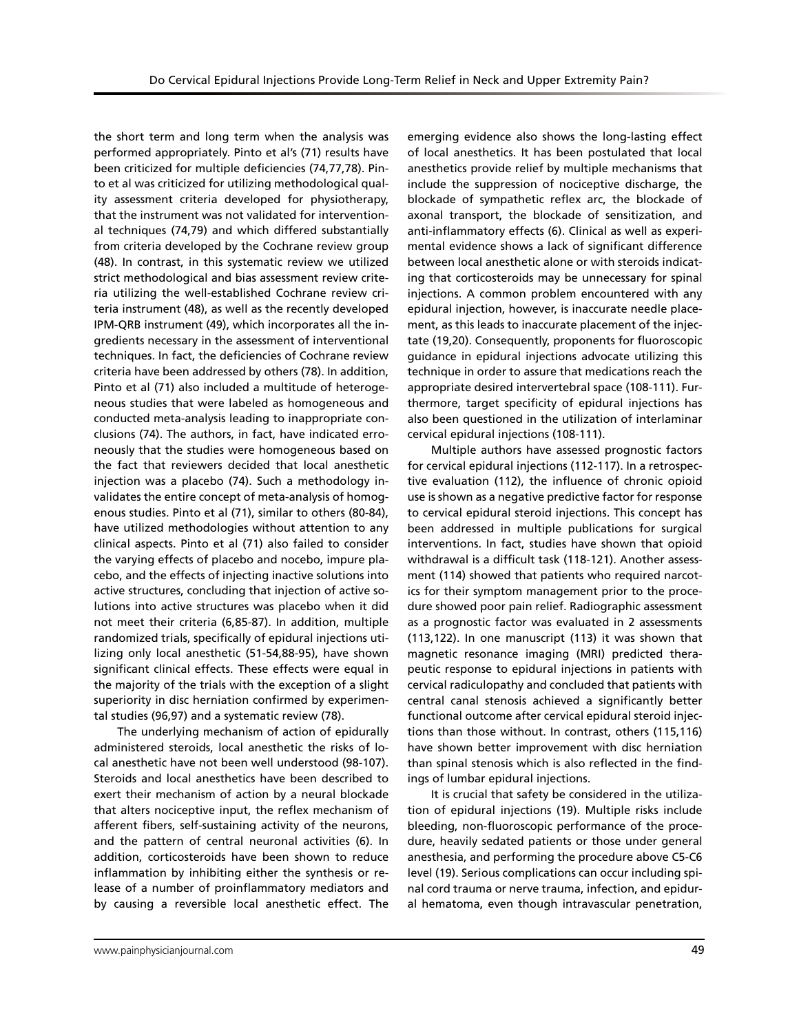the short term and long term when the analysis was performed appropriately. Pinto et al's (71) results have been criticized for multiple deficiencies (74,77,78). Pinto et al was criticized for utilizing methodological quality assessment criteria developed for physiotherapy, that the instrument was not validated for interventional techniques (74,79) and which differed substantially from criteria developed by the Cochrane review group (48). In contrast, in this systematic review we utilized strict methodological and bias assessment review criteria utilizing the well-established Cochrane review criteria instrument (48), as well as the recently developed IPM-QRB instrument (49), which incorporates all the ingredients necessary in the assessment of interventional techniques. In fact, the deficiencies of Cochrane review criteria have been addressed by others (78). In addition, Pinto et al (71) also included a multitude of heterogeneous studies that were labeled as homogeneous and conducted meta-analysis leading to inappropriate conclusions (74). The authors, in fact, have indicated erroneously that the studies were homogeneous based on the fact that reviewers decided that local anesthetic injection was a placebo (74). Such a methodology invalidates the entire concept of meta-analysis of homogenous studies. Pinto et al (71), similar to others (80-84), have utilized methodologies without attention to any clinical aspects. Pinto et al (71) also failed to consider the varying effects of placebo and nocebo, impure placebo, and the effects of injecting inactive solutions into active structures, concluding that injection of active solutions into active structures was placebo when it did not meet their criteria (6,85-87). In addition, multiple randomized trials, specifically of epidural injections utilizing only local anesthetic (51-54,88-95), have shown significant clinical effects. These effects were equal in the majority of the trials with the exception of a slight superiority in disc herniation confirmed by experimental studies (96,97) and a systematic review (78).

The underlying mechanism of action of epidurally administered steroids, local anesthetic the risks of local anesthetic have not been well understood (98-107). Steroids and local anesthetics have been described to exert their mechanism of action by a neural blockade that alters nociceptive input, the reflex mechanism of afferent fibers, self-sustaining activity of the neurons, and the pattern of central neuronal activities (6). In addition, corticosteroids have been shown to reduce inflammation by inhibiting either the synthesis or release of a number of proinflammatory mediators and by causing a reversible local anesthetic effect. The

emerging evidence also shows the long-lasting effect of local anesthetics. It has been postulated that local anesthetics provide relief by multiple mechanisms that include the suppression of nociceptive discharge, the blockade of sympathetic reflex arc, the blockade of axonal transport, the blockade of sensitization, and anti-inflammatory effects (6). Clinical as well as experimental evidence shows a lack of significant difference between local anesthetic alone or with steroids indicating that corticosteroids may be unnecessary for spinal injections. A common problem encountered with any epidural injection, however, is inaccurate needle placement, as this leads to inaccurate placement of the injectate (19,20). Consequently, proponents for fluoroscopic guidance in epidural injections advocate utilizing this technique in order to assure that medications reach the appropriate desired intervertebral space (108-111). Furthermore, target specificity of epidural injections has also been questioned in the utilization of interlaminar cervical epidural injections (108-111).

Multiple authors have assessed prognostic factors for cervical epidural injections (112-117). In a retrospective evaluation (112), the influence of chronic opioid use is shown as a negative predictive factor for response to cervical epidural steroid injections. This concept has been addressed in multiple publications for surgical interventions. In fact, studies have shown that opioid withdrawal is a difficult task (118-121). Another assessment (114) showed that patients who required narcotics for their symptom management prior to the procedure showed poor pain relief. Radiographic assessment as a prognostic factor was evaluated in 2 assessments (113,122). In one manuscript (113) it was shown that magnetic resonance imaging (MRI) predicted therapeutic response to epidural injections in patients with cervical radiculopathy and concluded that patients with central canal stenosis achieved a significantly better functional outcome after cervical epidural steroid injections than those without. In contrast, others (115,116) have shown better improvement with disc herniation than spinal stenosis which is also reflected in the findings of lumbar epidural injections.

It is crucial that safety be considered in the utilization of epidural injections (19). Multiple risks include bleeding, non-fluoroscopic performance of the procedure, heavily sedated patients or those under general anesthesia, and performing the procedure above C5-C6 level (19). Serious complications can occur including spinal cord trauma or nerve trauma, infection, and epidural hematoma, even though intravascular penetration,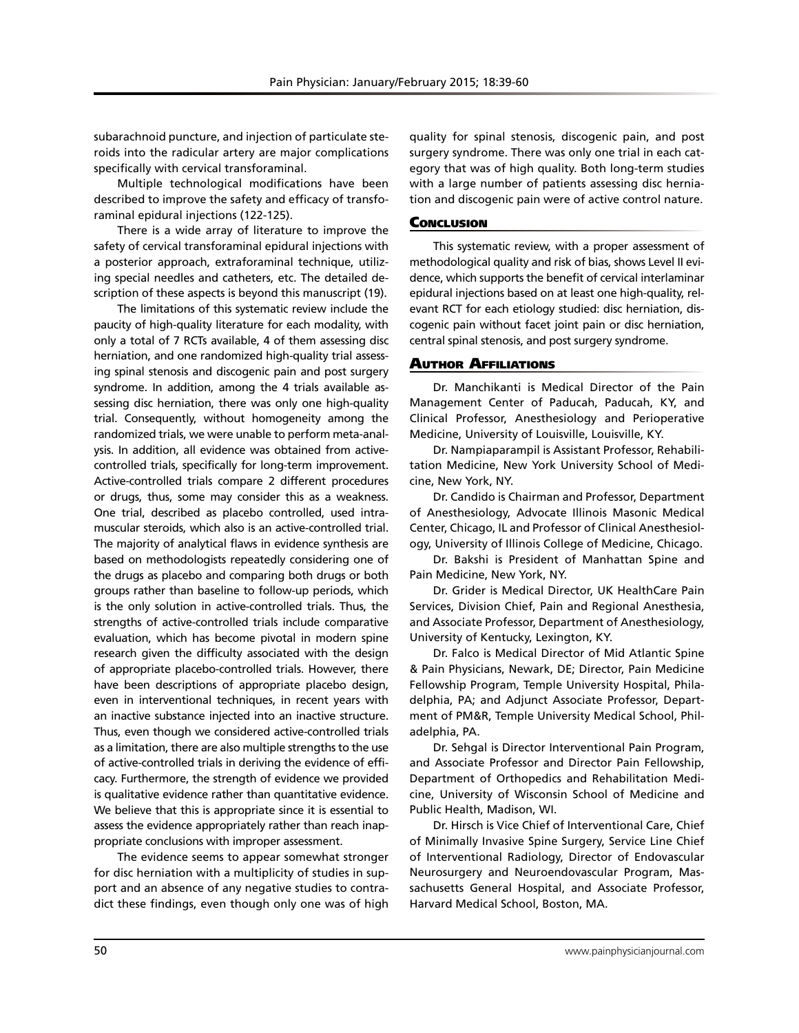subarachnoid puncture, and injection of particulate steroids into the radicular artery are major complications specifically with cervical transforaminal.

Multiple technological modifications have been described to improve the safety and efficacy of transforaminal epidural injections (122-125).

There is a wide array of literature to improve the safety of cervical transforaminal epidural injections with a posterior approach, extraforaminal technique, utilizing special needles and catheters, etc. The detailed description of these aspects is beyond this manuscript (19).

The limitations of this systematic review include the paucity of high-quality literature for each modality, with only a total of 7 RCTs available, 4 of them assessing disc herniation, and one randomized high-quality trial assessing spinal stenosis and discogenic pain and post surgery syndrome. In addition, among the 4 trials available assessing disc herniation, there was only one high-quality trial. Consequently, without homogeneity among the randomized trials, we were unable to perform meta-analysis. In addition, all evidence was obtained from activecontrolled trials, specifically for long-term improvement. Active-controlled trials compare 2 different procedures or drugs, thus, some may consider this as a weakness. One trial, described as placebo controlled, used intramuscular steroids, which also is an active-controlled trial. The majority of analytical flaws in evidence synthesis are based on methodologists repeatedly considering one of the drugs as placebo and comparing both drugs or both groups rather than baseline to follow-up periods, which is the only solution in active-controlled trials. Thus, the strengths of active-controlled trials include comparative evaluation, which has become pivotal in modern spine research given the difficulty associated with the design of appropriate placebo-controlled trials. However, there have been descriptions of appropriate placebo design, even in interventional techniques, in recent years with an inactive substance injected into an inactive structure. Thus, even though we considered active-controlled trials as a limitation, there are also multiple strengths to the use of active-controlled trials in deriving the evidence of efficacy. Furthermore, the strength of evidence we provided is qualitative evidence rather than quantitative evidence. We believe that this is appropriate since it is essential to assess the evidence appropriately rather than reach inappropriate conclusions with improper assessment.

The evidence seems to appear somewhat stronger for disc herniation with a multiplicity of studies in support and an absence of any negative studies to contradict these findings, even though only one was of high

quality for spinal stenosis, discogenic pain, and post surgery syndrome. There was only one trial in each category that was of high quality. Both long-term studies with a large number of patients assessing disc herniation and discogenic pain were of active control nature.

#### **Conclusion**

This systematic review, with a proper assessment of methodological quality and risk of bias, shows Level II evidence, which supports the benefit of cervical interlaminar epidural injections based on at least one high-quality, relevant RCT for each etiology studied: disc herniation, discogenic pain without facet joint pain or disc herniation, central spinal stenosis, and post surgery syndrome.

### Author Affiliations

Dr. Manchikanti is Medical Director of the Pain Management Center of Paducah, Paducah, KY, and Clinical Professor, Anesthesiology and Perioperative Medicine, University of Louisville, Louisville, KY.

Dr. Nampiaparampil is Assistant Professor, Rehabilitation Medicine, New York University School of Medicine, New York, NY.

Dr. Candido is Chairman and Professor, Department of Anesthesiology, Advocate Illinois Masonic Medical Center, Chicago, IL and Professor of Clinical Anesthesiology, University of Illinois College of Medicine, Chicago.

Dr. Bakshi is President of Manhattan Spine and Pain Medicine, New York, NY.

Dr. Grider is Medical Director, UK HealthCare Pain Services, Division Chief, Pain and Regional Anesthesia, and Associate Professor, Department of Anesthesiology, University of Kentucky, Lexington, KY.

Dr. Falco is Medical Director of Mid Atlantic Spine & Pain Physicians, Newark, DE; Director, Pain Medicine Fellowship Program, Temple University Hospital, Philadelphia, PA; and Adjunct Associate Professor, Department of PM&R, Temple University Medical School, Philadelphia, PA.

Dr. Sehgal is Director Interventional Pain Program, and Associate Professor and Director Pain Fellowship, Department of Orthopedics and Rehabilitation Medicine, University of Wisconsin School of Medicine and Public Health, Madison, WI.

Dr. Hirsch is Vice Chief of Interventional Care, Chief of Minimally Invasive Spine Surgery, Service Line Chief of Interventional Radiology, Director of Endovascular Neurosurgery and Neuroendovascular Program, Massachusetts General Hospital, and Associate Professor, Harvard Medical School, Boston, MA.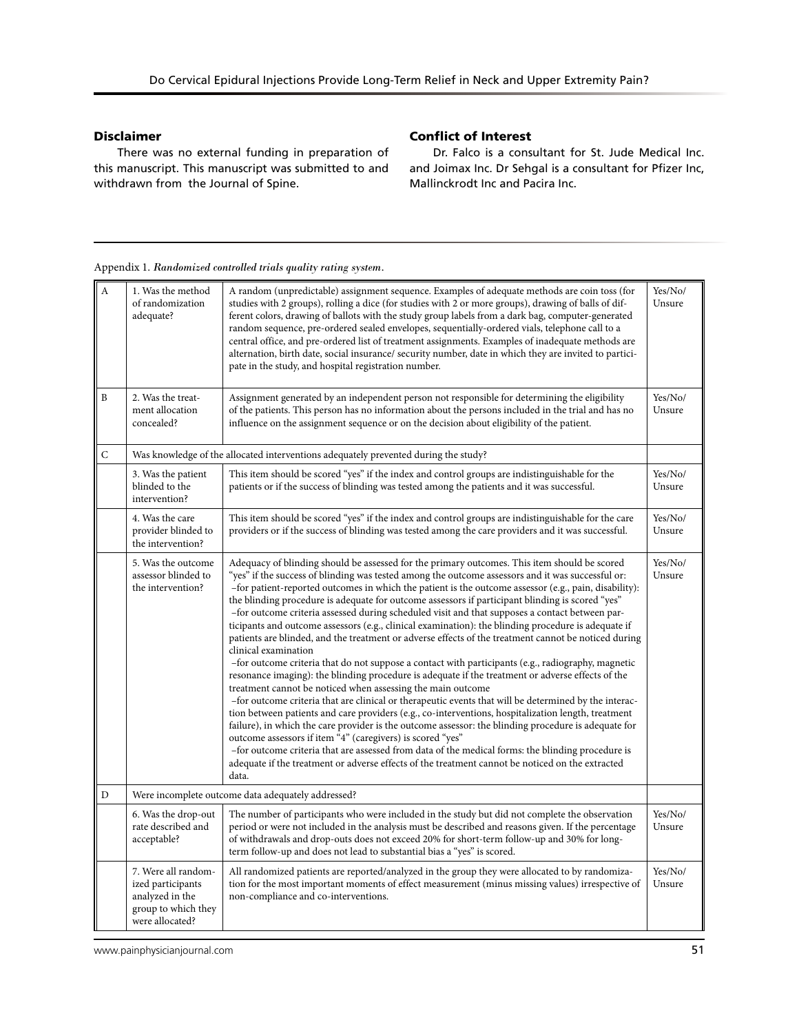# Disclaimer

There was no external funding in preparation of this manuscript. This manuscript was submitted to and withdrawn from the Journal of Spine.

# Conflict of Interest

Dr. Falco is a consultant for St. Jude Medical Inc. and Joimax Inc. Dr Sehgal is a consultant for Pfizer Inc, Mallinckrodt Inc and Pacira Inc.

A 1. Was the method of randomization adequate? A random (unpredictable) assignment sequence. Examples of adequate methods are coin toss (for studies with 2 groups), rolling a dice (for studies with 2 or more groups), drawing of balls of different colors, drawing of ballots with the study group labels from a dark bag, computer-generated random sequence, pre-ordered sealed envelopes, sequentially-ordered vials, telephone call to a central office, and pre-ordered list of treatment assignments. Examples of inadequate methods are alternation, birth date, social insurance/ security number, date in which they are invited to participate in the study, and hospital registration number. Yes/No/ Unsure  $\mathbf{B}$  2. Was the treatment allocation concealed? Assignment generated by an independent person not responsible for determining the eligibility of the patients. This person has no information about the persons included in the trial and has no influence on the assignment sequence or on the decision about eligibility of the patient. Yes/No/ Unsure C Was knowledge of the allocated interventions adequately prevented during the study? 3. Was the patient blinded to the intervention? This item should be scored "yes" if the index and control groups are indistinguishable for the patients or if the success of blinding was tested among the patients and it was successful. Yes/No/ Unsure 4. Was the care provider blinded to the intervention? This item should be scored "yes" if the index and control groups are indistinguishable for the care providers or if the success of blinding was tested among the care providers and it was successful. Yes/No/ Unsure 5. Was the outcome assessor blinded to the intervention? Adequacy of blinding should be assessed for the primary outcomes. This item should be scored "yes" if the success of blinding was tested among the outcome assessors and it was successful or: –for patient-reported outcomes in which the patient is the outcome assessor (e.g., pain, disability): the blinding procedure is adequate for outcome assessors if participant blinding is scored "yes" –for outcome criteria assessed during scheduled visit and that supposes a contact between participants and outcome assessors (e.g., clinical examination): the blinding procedure is adequate if patients are blinded, and the treatment or adverse effects of the treatment cannot be noticed during clinical examination –for outcome criteria that do not suppose a contact with participants (e.g., radiography, magnetic resonance imaging): the blinding procedure is adequate if the treatment or adverse effects of the treatment cannot be noticed when assessing the main outcome –for outcome criteria that are clinical or therapeutic events that will be determined by the interaction between patients and care providers (e.g., co-interventions, hospitalization length, treatment failure), in which the care provider is the outcome assessor: the blinding procedure is adequate for outcome assessors if item "4" (caregivers) is scored "yes" –for outcome criteria that are assessed from data of the medical forms: the blinding procedure is adequate if the treatment or adverse effects of the treatment cannot be noticed on the extracted data. Yes/No/ Unsure D Vere incomplete outcome data adequately addressed? 6. Was the drop-out rate described and acceptable? The number of participants who were included in the study but did not complete the observation period or were not included in the analysis must be described and reasons given. If the percentage of withdrawals and drop-outs does not exceed 20% for short-term follow-up and 30% for longterm follow-up and does not lead to substantial bias a "yes" is scored. Yes/No/ Unsure 7. Were all randomized participants analyzed in the group to which they were allocated? All randomized patients are reported/analyzed in the group they were allocated to by randomization for the most important moments of effect measurement (minus missing values) irrespective of non-compliance and co-interventions. Yes/No/ Unsure

Appendix 1. *Randomized controlled trials quality rating system.*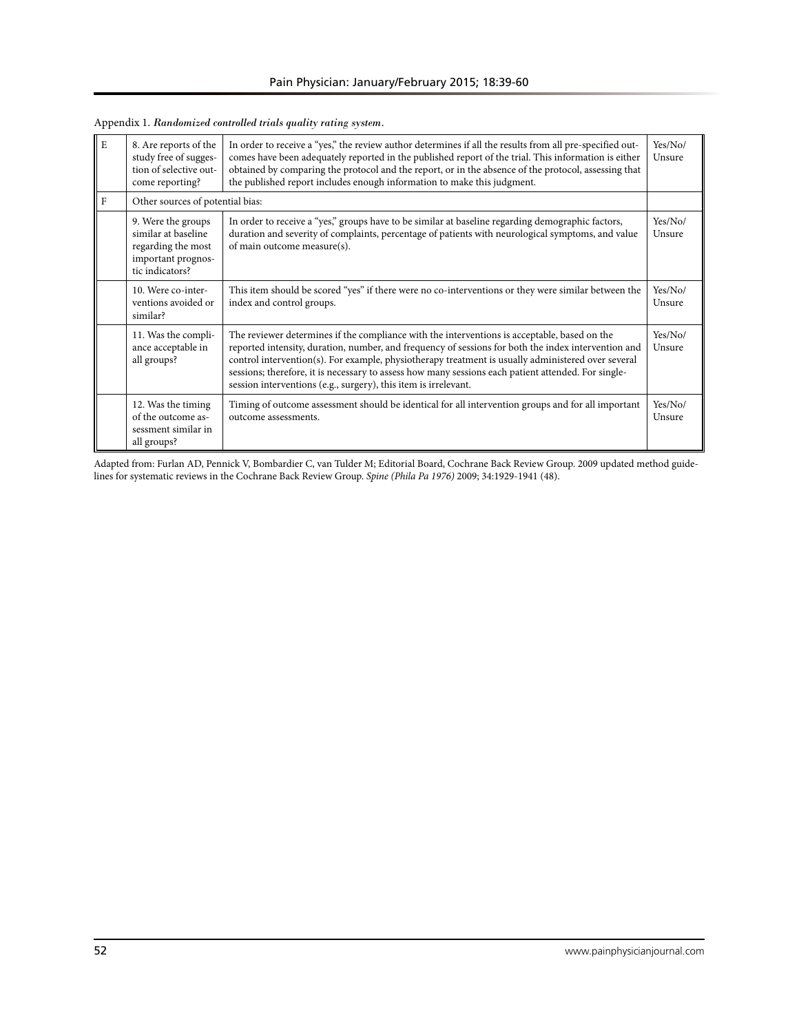| E | 8. Are reports of the<br>study free of sugges-<br>tion of selective out-<br>come reporting?              | In order to receive a "yes," the review author determines if all the results from all pre-specified out-<br>comes have been adequately reported in the published report of the trial. This information is either<br>obtained by comparing the protocol and the report, or in the absence of the protocol, assessing that<br>the published report includes enough information to make this judgment.                                                                                 | Yes/No/<br>Unsure |
|---|----------------------------------------------------------------------------------------------------------|-------------------------------------------------------------------------------------------------------------------------------------------------------------------------------------------------------------------------------------------------------------------------------------------------------------------------------------------------------------------------------------------------------------------------------------------------------------------------------------|-------------------|
| F | Other sources of potential bias:                                                                         |                                                                                                                                                                                                                                                                                                                                                                                                                                                                                     |                   |
|   | 9. Were the groups<br>similar at baseline<br>regarding the most<br>important prognos-<br>tic indicators? | In order to receive a "yes," groups have to be similar at baseline regarding demographic factors,<br>duration and severity of complaints, percentage of patients with neurological symptoms, and value<br>of main outcome measure(s).                                                                                                                                                                                                                                               | Yes/No/<br>Unsure |
|   | 10. Were co-inter-<br>ventions avoided or<br>similar?                                                    | This item should be scored "yes" if there were no co-interventions or they were similar between the<br>index and control groups.                                                                                                                                                                                                                                                                                                                                                    | Yes/No/<br>Unsure |
|   | 11. Was the compli-<br>ance acceptable in<br>all groups?                                                 | The reviewer determines if the compliance with the interventions is acceptable, based on the<br>reported intensity, duration, number, and frequency of sessions for both the index intervention and<br>control intervention(s). For example, physiotherapy treatment is usually administered over several<br>sessions; therefore, it is necessary to assess how many sessions each patient attended. For single-<br>session interventions (e.g., surgery), this item is irrelevant. | Yes/No/<br>Unsure |
|   | 12. Was the timing<br>of the outcome as-<br>sessment similar in<br>all groups?                           | Timing of outcome assessment should be identical for all intervention groups and for all important<br>outcome assessments.                                                                                                                                                                                                                                                                                                                                                          | Yes/No/<br>Unsure |

Appendix 1. *Randomized controlled trials quality rating system.* 

Adapted from: Furlan AD, Pennick V, Bombardier C, van Tulder M; Editorial Board, Cochrane Back Review Group. 2009 updated method guidelines for systematic reviews in the Cochrane Back Review Group. *Spine (Phila Pa 1976)* 2009; 34:1929-1941 (48).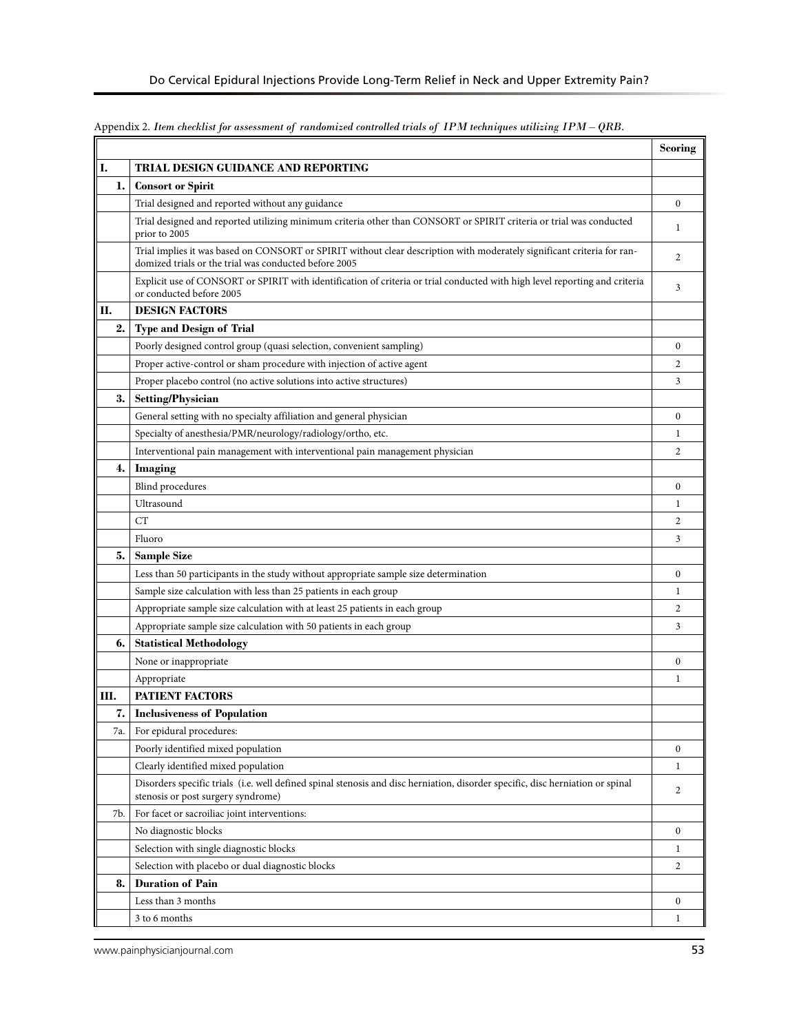|     |                                                                                                                                                                                  | Scoring          |
|-----|----------------------------------------------------------------------------------------------------------------------------------------------------------------------------------|------------------|
| I.  | TRIAL DESIGN GUIDANCE AND REPORTING                                                                                                                                              |                  |
| ı.  | <b>Consort or Spirit</b>                                                                                                                                                         |                  |
|     | Trial designed and reported without any guidance                                                                                                                                 | $\boldsymbol{0}$ |
|     | Trial designed and reported utilizing minimum criteria other than CONSORT or SPIRIT criteria or trial was conducted<br>prior to 2005                                             | 1                |
|     | Trial implies it was based on CONSORT or SPIRIT without clear description with moderately significant criteria for ran-<br>domized trials or the trial was conducted before 2005 | $\overline{2}$   |
|     | Explicit use of CONSORT or SPIRIT with identification of criteria or trial conducted with high level reporting and criteria<br>or conducted before 2005                          | 3                |
| П.  | <b>DESIGN FACTORS</b>                                                                                                                                                            |                  |
| 2.  | <b>Type and Design of Trial</b>                                                                                                                                                  |                  |
|     | Poorly designed control group (quasi selection, convenient sampling)                                                                                                             | $\boldsymbol{0}$ |
|     | Proper active-control or sham procedure with injection of active agent                                                                                                           | $\overline{c}$   |
|     | Proper placebo control (no active solutions into active structures)                                                                                                              | 3                |
| 3.  | <b>Setting/Physician</b>                                                                                                                                                         |                  |
|     | General setting with no specialty affiliation and general physician                                                                                                              | $\boldsymbol{0}$ |
|     | Specialty of anesthesia/PMR/neurology/radiology/ortho, etc.                                                                                                                      | $\mathbf{1}$     |
|     | Interventional pain management with interventional pain management physician                                                                                                     | $\overline{2}$   |
| 4.  | Imaging                                                                                                                                                                          |                  |
|     | <b>Blind</b> procedures                                                                                                                                                          | $\boldsymbol{0}$ |
|     | Ultrasound                                                                                                                                                                       | $\mathbf{1}$     |
|     | CT                                                                                                                                                                               | $\overline{2}$   |
|     | Fluoro                                                                                                                                                                           | 3                |
| 5.  | <b>Sample Size</b>                                                                                                                                                               |                  |
|     | Less than 50 participants in the study without appropriate sample size determination                                                                                             | $\mathbf{0}$     |
|     | Sample size calculation with less than 25 patients in each group                                                                                                                 | 1                |
|     | Appropriate sample size calculation with at least 25 patients in each group                                                                                                      | $\overline{c}$   |
|     | Appropriate sample size calculation with 50 patients in each group                                                                                                               | 3                |
| 6.  | <b>Statistical Methodology</b>                                                                                                                                                   |                  |
|     | None or inappropriate                                                                                                                                                            | $\boldsymbol{0}$ |
|     | Appropriate                                                                                                                                                                      | 1                |
| Ш.  | <b>PATIENT FACTORS</b>                                                                                                                                                           |                  |
| 7.  | <b>Inclusiveness of Population</b>                                                                                                                                               |                  |
| 7a. | For epidural procedures:                                                                                                                                                         |                  |
|     | Poorly identified mixed population                                                                                                                                               | $\mathbf{0}$     |
|     | Clearly identified mixed population                                                                                                                                              | $\mathbf{1}$     |
|     | Disorders specific trials (i.e. well defined spinal stenosis and disc herniation, disorder specific, disc herniation or spinal<br>stenosis or post surgery syndrome)             | $\overline{2}$   |
| 7b. | For facet or sacroiliac joint interventions:                                                                                                                                     |                  |
|     | No diagnostic blocks                                                                                                                                                             | $\bf{0}$         |
|     | Selection with single diagnostic blocks                                                                                                                                          | $\mathbf{1}$     |
|     | Selection with placebo or dual diagnostic blocks                                                                                                                                 | $\overline{c}$   |
| 8.  | <b>Duration of Pain</b>                                                                                                                                                          |                  |
|     | Less than 3 months                                                                                                                                                               | $\bf{0}$         |
|     | 3 to 6 months                                                                                                                                                                    | 1                |

Appendix 2. *Item checklist for assessment of randomized controlled trials of IPM techniques utilizing IPM – QRB.*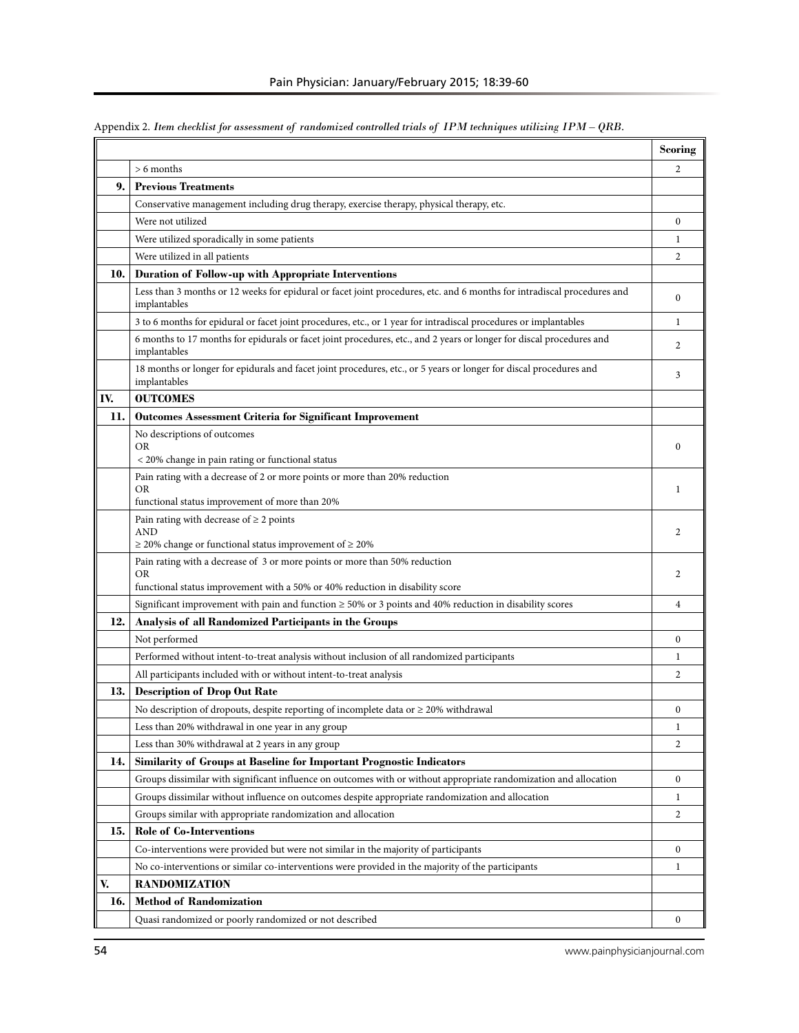|     |                                                                                                                                                                   | <b>Scoring</b>   |
|-----|-------------------------------------------------------------------------------------------------------------------------------------------------------------------|------------------|
|     | $> 6$ months                                                                                                                                                      | 2                |
| 9.  | <b>Previous Treatments</b>                                                                                                                                        |                  |
|     | Conservative management including drug therapy, exercise therapy, physical therapy, etc.                                                                          |                  |
|     | Were not utilized                                                                                                                                                 | $\bf{0}$         |
|     | Were utilized sporadically in some patients                                                                                                                       | 1                |
|     | Were utilized in all patients                                                                                                                                     | 2                |
| 10. | Duration of Follow-up with Appropriate Interventions                                                                                                              |                  |
|     | Less than 3 months or 12 weeks for epidural or facet joint procedures, etc. and 6 months for intradiscal procedures and<br>implantables                           | 0                |
|     | 3 to 6 months for epidural or facet joint procedures, etc., or 1 year for intradiscal procedures or implantables                                                  | 1                |
|     | 6 months to 17 months for epidurals or facet joint procedures, etc., and 2 years or longer for discal procedures and<br>implantables                              | 2                |
|     | 18 months or longer for epidurals and facet joint procedures, etc., or 5 years or longer for discal procedures and<br>implantables                                | 3                |
| IV. | <b>OUTCOMES</b>                                                                                                                                                   |                  |
| 11. | <b>Outcomes Assessment Criteria for Significant Improvement</b>                                                                                                   |                  |
|     | No descriptions of outcomes<br>OR                                                                                                                                 | $\mathbf{0}$     |
|     | < 20% change in pain rating or functional status<br>Pain rating with a decrease of 2 or more points or more than 20% reduction                                    |                  |
|     | OR                                                                                                                                                                | 1                |
|     | functional status improvement of more than 20%                                                                                                                    |                  |
|     | Pain rating with decrease of $\geq 2$ points<br><b>AND</b>                                                                                                        | 2                |
|     | $\geq$ 20% change or functional status improvement of $\geq$ 20%                                                                                                  |                  |
|     | Pain rating with a decrease of 3 or more points or more than 50% reduction<br>OR<br>functional status improvement with a 50% or 40% reduction in disability score | 2                |
|     | Significant improvement with pain and function $\geq 50\%$ or 3 points and 40% reduction in disability scores                                                     | 4                |
| 12. | Analysis of all Randomized Participants in the Groups                                                                                                             |                  |
|     | Not performed                                                                                                                                                     | $\bf{0}$         |
|     | Performed without intent-to-treat analysis without inclusion of all randomized participants                                                                       | 1                |
|     | All participants included with or without intent-to-treat analysis                                                                                                | 2                |
| 13. | <b>Description of Drop Out Rate</b>                                                                                                                               |                  |
|     | No description of dropouts, despite reporting of incomplete data or $\geq$ 20% withdrawal                                                                         | $\mathbf{0}$     |
|     | Less than 20% withdrawal in one year in any group                                                                                                                 | $\mathbf{1}$     |
|     | Less than 30% withdrawal at 2 years in any group                                                                                                                  | 2                |
| 14. | Similarity of Groups at Baseline for Important Prognostic Indicators                                                                                              |                  |
|     | Groups dissimilar with significant influence on outcomes with or without appropriate randomization and allocation                                                 | $\boldsymbol{0}$ |
|     | Groups dissimilar without influence on outcomes despite appropriate randomization and allocation                                                                  | 1                |
|     | Groups similar with appropriate randomization and allocation                                                                                                      | 2                |
| 15. | Role of Co-Interventions                                                                                                                                          |                  |
|     | Co-interventions were provided but were not similar in the majority of participants                                                                               | $\boldsymbol{0}$ |
|     | No co-interventions or similar co-interventions were provided in the majority of the participants                                                                 | 1                |
| V.  | <b>RANDOMIZATION</b>                                                                                                                                              |                  |
| 16. | <b>Method of Randomization</b>                                                                                                                                    |                  |
|     | Quasi randomized or poorly randomized or not described                                                                                                            | $\boldsymbol{0}$ |

Appendix 2. *Item checklist for assessment of randomized controlled trials of IPM techniques utilizing IPM – QRB.*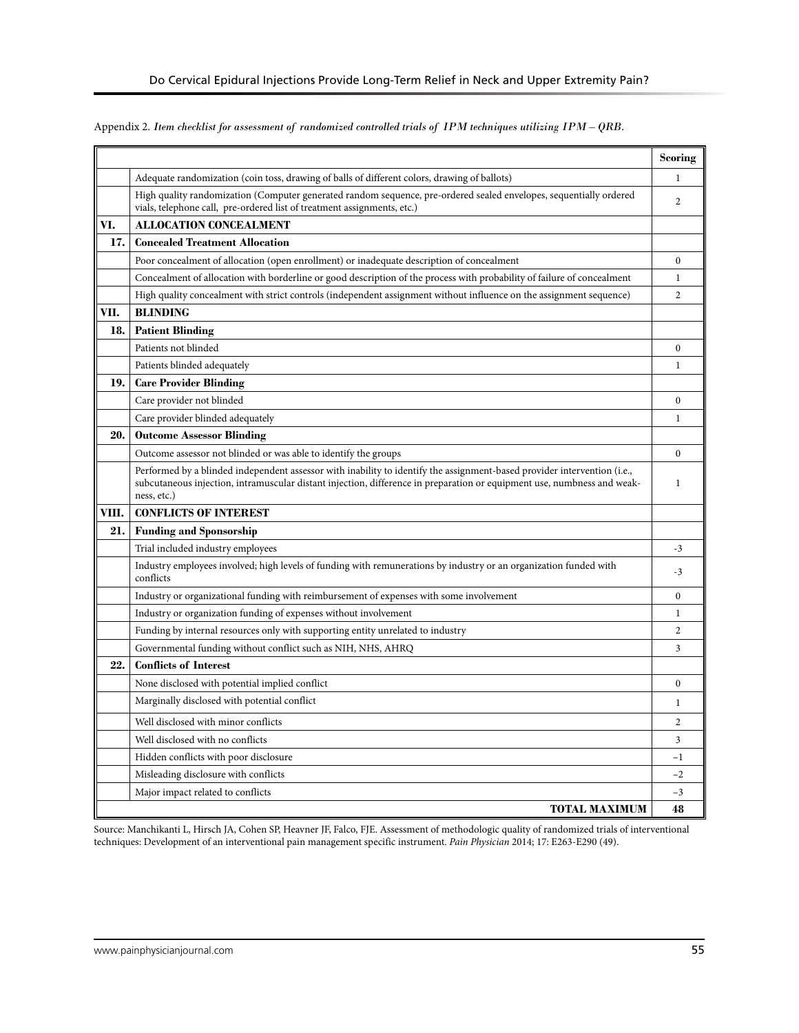# Appendix 2. *Item checklist for assessment of randomized controlled trials of IPM techniques utilizing IPM – QRB.*

|       |                                                                                                                                                                                                                                                                    | <b>Scoring</b> |
|-------|--------------------------------------------------------------------------------------------------------------------------------------------------------------------------------------------------------------------------------------------------------------------|----------------|
|       | Adequate randomization (coin toss, drawing of balls of different colors, drawing of ballots)                                                                                                                                                                       | 1              |
|       | High quality randomization (Computer generated random sequence, pre-ordered sealed envelopes, sequentially ordered<br>vials, telephone call, pre-ordered list of treatment assignments, etc.)                                                                      | $\overline{2}$ |
| VI.   | <b>ALLOCATION CONCEALMENT</b>                                                                                                                                                                                                                                      |                |
| 17.   | <b>Concealed Treatment Allocation</b>                                                                                                                                                                                                                              |                |
|       | Poor concealment of allocation (open enrollment) or inadequate description of concealment                                                                                                                                                                          | $\mathbf{0}$   |
|       | Concealment of allocation with borderline or good description of the process with probability of failure of concealment                                                                                                                                            | 1              |
|       | High quality concealment with strict controls (independent assignment without influence on the assignment sequence)                                                                                                                                                | $\overline{2}$ |
| VII.  | <b>BLINDING</b>                                                                                                                                                                                                                                                    |                |
| 18.   | <b>Patient Blinding</b>                                                                                                                                                                                                                                            |                |
|       | Patients not blinded                                                                                                                                                                                                                                               | $\overline{0}$ |
|       | Patients blinded adequately                                                                                                                                                                                                                                        | 1              |
| 19.   | <b>Care Provider Blinding</b>                                                                                                                                                                                                                                      |                |
|       | Care provider not blinded                                                                                                                                                                                                                                          | $\theta$       |
|       | Care provider blinded adequately                                                                                                                                                                                                                                   | 1              |
| 20.   | <b>Outcome Assessor Blinding</b>                                                                                                                                                                                                                                   |                |
|       | Outcome assessor not blinded or was able to identify the groups                                                                                                                                                                                                    | $\theta$       |
|       | Performed by a blinded independent assessor with inability to identify the assignment-based provider intervention (i.e.,<br>subcutaneous injection, intramuscular distant injection, difference in preparation or equipment use, numbness and weak-<br>ness, etc.) | $\mathbf{1}$   |
| VIII. | <b>CONFLICTS OF INTEREST</b>                                                                                                                                                                                                                                       |                |
| 21.   | <b>Funding and Sponsorship</b>                                                                                                                                                                                                                                     |                |
|       | Trial included industry employees                                                                                                                                                                                                                                  | $-3$           |
|       | Industry employees involved; high levels of funding with remunerations by industry or an organization funded with<br>conflicts                                                                                                                                     | $-3$           |
|       | Industry or organizational funding with reimbursement of expenses with some involvement                                                                                                                                                                            | $\overline{0}$ |
|       | Industry or organization funding of expenses without involvement                                                                                                                                                                                                   | $\mathbf{1}$   |
|       | Funding by internal resources only with supporting entity unrelated to industry                                                                                                                                                                                    | $\overline{2}$ |
|       | Governmental funding without conflict such as NIH, NHS, AHRQ                                                                                                                                                                                                       | 3              |
| 22.   | <b>Conflicts of Interest</b>                                                                                                                                                                                                                                       |                |
|       | None disclosed with potential implied conflict                                                                                                                                                                                                                     | $\mathbf{0}$   |
|       | Marginally disclosed with potential conflict                                                                                                                                                                                                                       | 1              |
|       | Well disclosed with minor conflicts                                                                                                                                                                                                                                | $\overline{2}$ |
|       | Well disclosed with no conflicts                                                                                                                                                                                                                                   | 3              |
|       | Hidden conflicts with poor disclosure                                                                                                                                                                                                                              | $-1$           |
|       | Misleading disclosure with conflicts                                                                                                                                                                                                                               | $-2$           |
|       | Major impact related to conflicts                                                                                                                                                                                                                                  | $-3$           |
|       | <b>TOTAL MAXIMUM</b>                                                                                                                                                                                                                                               | 48             |

Source: Manchikanti L, Hirsch JA, Cohen SP, Heavner JF, Falco, FJE. Assessment of methodologic quality of randomized trials of interventional techniques: Development of an interventional pain management specific instrument. *Pain Physician* 2014; 17: E263-E290 (49).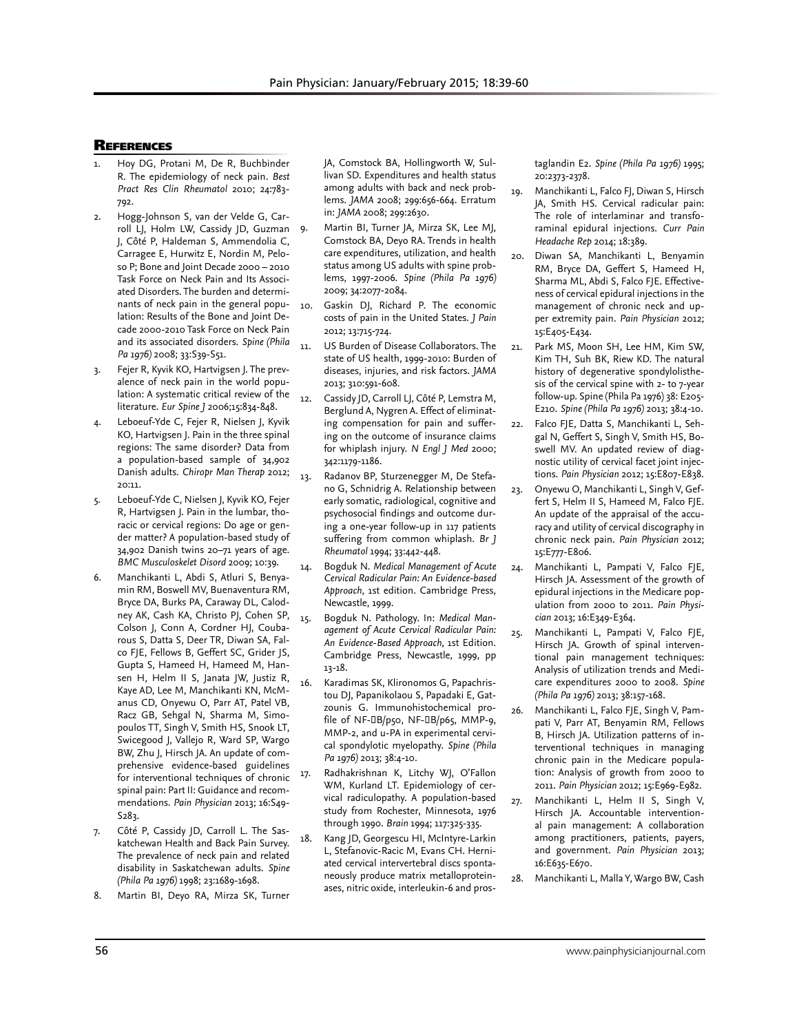## **REFERENCES**

- Hoy DG, Protani M, De R, Buchbinder R. The epidemiology of neck pain. *Best Pract Res Clin Rheumatol* 2010; 24:783- 792.
- Hogg-Johnson S, van der Velde G, Carroll LJ, Holm LW, Cassidy JD, Guzman J, Côté P, Haldeman S, Ammendolia C, Carragee E, Hurwitz E, Nordin M, Peloso P; Bone and Joint Decade 2000 – 2010 Task Force on Neck Pain and Its Associated Disorders. The burden and determinants of neck pain in the general population: Results of the Bone and Joint Decade 2000-2010 Task Force on Neck Pain and its associated disorders. *Spine (Phila Pa 1976)* 2008; 33:S39-S51.
- 3. Fejer R, Kyvik KO, Hartvigsen J. The prevalence of neck pain in the world population: A systematic critical review of the literature. *Eur Spine J* 2006;15:834-848.
- Leboeuf-Yde C, Fejer R, Nielsen J, Kyvik KO, Hartvigsen J. Pain in the three spinal regions: The same disorder? Data from a population-based sample of 34,902 Danish adults. *Chiropr Man Therap* 2012; 20:11.
- 5. Leboeuf-Yde C, Nielsen J, Kyvik KO, Fejer R, Hartvigsen J. Pain in the lumbar, thoracic or cervical regions: Do age or gender matter? A population-based study of 34,902 Danish twins 20–71 years of age. *BMC Musculoskelet Disord* 2009; 10:39.
- 6. Manchikanti L, Abdi S, Atluri S, Benyamin RM, Boswell MV, Buenaventura RM, Bryce DA, Burks PA, Caraway DL, Calodney AK, Cash KA, Christo PJ, Cohen SP, Colson J, Conn A, Cordner HJ, Coubarous S, Datta S, Deer TR, Diwan SA, Falco FJE, Fellows B, Geffert SC, Grider JS, Gupta S, Hameed H, Hameed M, Hansen H, Helm II S, Janata JW, Justiz R, Kaye AD, Lee M, Manchikanti KN, McManus CD, Onyewu O, Parr AT, Patel VB, Racz GB, Sehgal N, Sharma M, Simopoulos TT, Singh V, Smith HS, Snook LT, Swicegood J, Vallejo R, Ward SP, Wargo BW, Zhu J, Hirsch JA. An update of comprehensive evidence-based guidelines for interventional techniques of chronic spinal pain: Part II: Guidance and recommendations. *Pain Physician* 2013; 16:S49- S283.
- 7. Côté P, Cassidy JD, Carroll L. The Saskatchewan Health and Back Pain Survey. The prevalence of neck pain and related disability in Saskatchewan adults. *Spine (Phila Pa 1976)* 1998; 23:1689-1698.
- 8. Martin BI, Deyo RA, Mirza SK, Turner

JA, Comstock BA, Hollingworth W, Sullivan SD. Expenditures and health status among adults with back and neck problems. *JAMA* 2008; 299:656-664. Erratum in: *JAMA* 2008; 299:2630.

- Martin BI, Turner JA, Mirza SK, Lee MJ, Comstock BA, Deyo RA. Trends in health care expenditures, utilization, and health status among US adults with spine problems, 1997-2006. *Spine (Phila Pa 1976)* 2009; 34:2077-2084.
- 10. Gaskin DJ, Richard P. The economic costs of pain in the United States. *J Pain*  2012; 13:715-724.
- 11. US Burden of Disease Collaborators. The state of US health, 1999-2010: Burden of diseases, injuries, and risk factors. *JAMA* 2013; 310:591-608.
- 12. Cassidy JD, Carroll LJ, Côté P, Lemstra M, Berglund A, Nygren A. Effect of eliminating compensation for pain and suffering on the outcome of insurance claims for whiplash injury. *N Engl J Med* 2000; 342:1179-1186.
- 13. Radanov BP, Sturzenegger M, De Stefano G, Schnidrig A. Relationship between early somatic, radiological, cognitive and psychosocial findings and outcome during a one-year follow-up in 117 patients suffering from common whiplash. *Br J Rheumatol* 1994; 33:442-448.
- 14. Bogduk N. *Medical Management of Acute Cervical Radicular Pain: An Evidence-based Approach*, 1st edition. Cambridge Press, Newcastle, 1999.
- 15. Bogduk N. Pathology. In: *Medical Management of Acute Cervical Radicular Pain: An Evidence-Based Approach,* 1st Edition. Cambridge Press, Newcastle, 1999, pp 13-18.
- 16. Karadimas SK, Klironomos G, Papachristou DJ, Papanikolaou S, Papadaki E, Gatzounis G. Immunohistochemical profile of NF- B/p50, NF- B/p65, MMP-9, MMP-2, and u-PA in experimental cervical spondylotic myelopathy. *Spine (Phila Pa 1976)* 2013; 38:4-10.
	- Radhakrishnan K, Litchy WJ, O'Fallon WM, Kurland LT. Epidemiology of cervical radiculopathy. A population-based study from Rochester, Minnesota, 1976 through 1990. *Brain* 1994; 117:325-335.
- 18. Kang JD, Georgescu HI, McIntyre-Larkin L, Stefanovic-Racic M, Evans CH. Herniated cervical intervertebral discs spontaneously produce matrix metalloproteinases, nitric oxide, interleukin-6 and pros-

taglandin E2. *Spine (Phila Pa 1976)* 1995; 20:2373-2378.

- 19. Manchikanti L, Falco FJ, Diwan S, Hirsch JA, Smith HS. Cervical radicular pain: The role of interlaminar and transforaminal epidural injections. *Curr Pain Headache Rep* 2014; 18:389.
- 20. Diwan SA, Manchikanti L, Benyamin RM, Bryce DA, Geffert S, Hameed H, Sharma ML, Abdi S, Falco FJE. Effectiveness of cervical epidural injections in the management of chronic neck and upper extremity pain. *Pain Physician* 2012; 15:E405-E434.
- 21. Park MS, Moon SH, Lee HM, Kim SW, Kim TH, Suh BK, Riew KD. The natural history of degenerative spondylolisthesis of the cervical spine with 2- to 7-year follow-up. Spine (Phila Pa 1976) 38: E205- E210. *Spine (Phila Pa 1976)* 2013; 38:4-10.
- 22. Falco FJE, Datta S, Manchikanti L, Sehgal N, Geffert S, Singh V, Smith HS, Boswell MV. An updated review of diagnostic utility of cervical facet joint injections. *Pain Physician* 2012; 15:E807-E838.
- 23. Onyewu O, Manchikanti L, Singh V, Geffert S, Helm II S, Hameed M, Falco FJE. An update of the appraisal of the accuracy and utility of cervical discography in chronic neck pain. *Pain Physician* 2012; 15:E777-E806.
- 24. Manchikanti L, Pampati V, Falco FJE, Hirsch JA. Assessment of the growth of epidural injections in the Medicare population from 2000 to 2011. *Pain Physician* 2013; 16:E349-E364.
- 25. Manchikanti L, Pampati V, Falco FJE, Hirsch JA. Growth of spinal interventional pain management techniques: Analysis of utilization trends and Medicare expenditures 2000 to 2008. *Spine (Phila Pa 1976)* 2013; 38:157-168.
- 26. Manchikanti L, Falco FJE, Singh V, Pampati V, Parr AT, Benyamin RM, Fellows B, Hirsch JA. Utilization patterns of interventional techniques in managing chronic pain in the Medicare population: Analysis of growth from 2000 to 2011. *Pain Physician* 2012; 15:E969-E982.
- 27. Manchikanti L, Helm II S, Singh V, Hirsch JA. Accountable interventional pain management: A collaboration among practitioners, patients, payers, and government. *Pain Physician* 2013; 16:E635-E670.
- 28. Manchikanti L, Malla Y, Wargo BW, Cash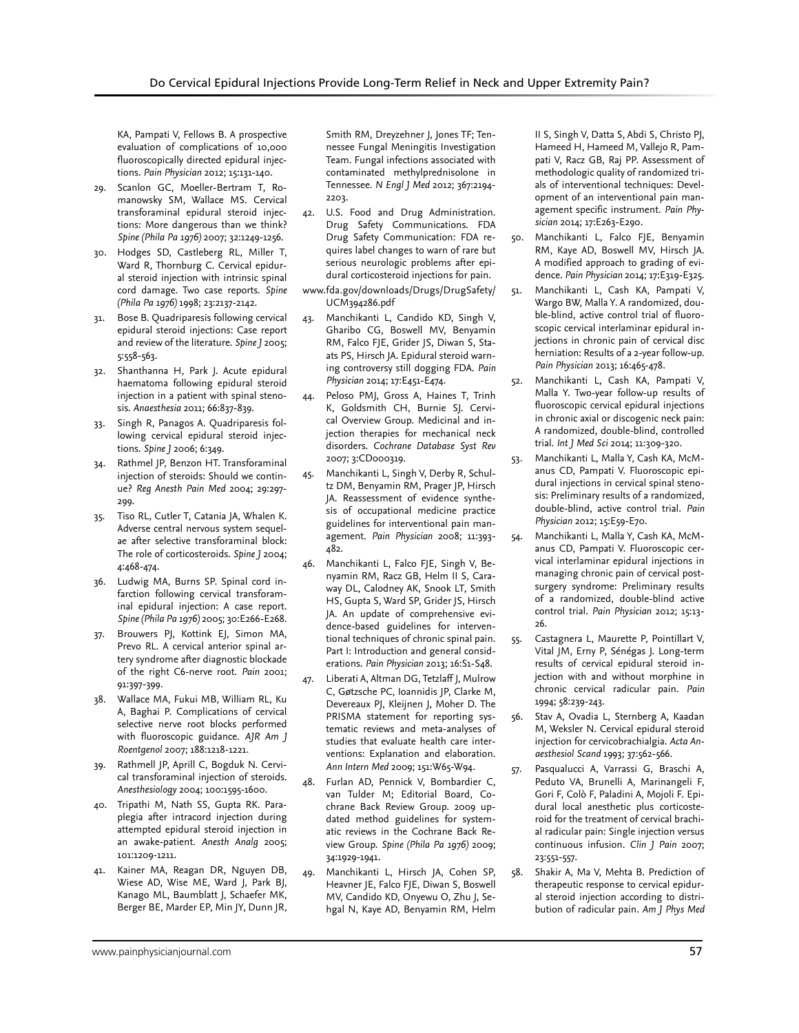KA, Pampati V, Fellows B. A prospective evaluation of complications of 10,000 fluoroscopically directed epidural injections. *Pain Physician* 2012; 15:131-140.

- 29. Scanlon GC, Moeller-Bertram T, Romanowsky SM, Wallace MS. Cervical transforaminal epidural steroid injections: More dangerous than we think? *Spine (Phila Pa 1976)* 2007; 32:1249-1256.
- 30. Hodges SD, Castleberg RL, Miller T, Ward R, Thornburg C. Cervical epidural steroid injection with intrinsic spinal cord damage. Two case reports. *Spine (Phila Pa 1976)* 1998; 23:2137-2142.
- 31. Bose B. Quadriparesis following cervical epidural steroid injections: Case report and review of the literature. *Spine J* 2005; 5:558-563.
- 32. Shanthanna H, Park J. Acute epidural haematoma following epidural steroid injection in a patient with spinal stenosis. *Anaesthesia* 2011; 66:837-839.
- 33. Singh R, Panagos A. Quadriparesis following cervical epidural steroid injections. *Spine J* 2006; 6:349.
- 34. Rathmel JP, Benzon HT. Transforaminal injection of steroids: Should we continue? *Reg Anesth Pain Med* 2004; 29:297- 299.
- 35. Tiso RL, Cutler T, Catania JA, Whalen K. Adverse central nervous system sequelae after selective transforaminal block: The role of corticosteroids. *Spine J* 2004; 4:468-474.
- 36. Ludwig MA, Burns SP. Spinal cord infarction following cervical transforaminal epidural injection: A case report. *Spine (Phila Pa 1976)* 2005; 30:E266-E268.
- 37. Brouwers PJ, Kottink EJ, Simon MA, Prevo RL. A cervical anterior spinal artery syndrome after diagnostic blockade of the right C6-nerve root. *Pain* 2001; 91:397-399.
- 38. Wallace MA, Fukui MB, William RL, Ku A, Baghai P. Complications of cervical selective nerve root blocks performed with fluoroscopic guidance. *AJR Am J Roentgenol* 2007; 188:1218-1221.
- 39. Rathmell JP, Aprill C, Bogduk N. Cervical transforaminal injection of steroids. *Anesthesiology* 2004; 100:1595-1600.
- 40. Tripathi M, Nath SS, Gupta RK. Paraplegia after intracord injection during attempted epidural steroid injection in an awake-patient. *Anesth Analg* 2005; 101:1209-1211.
- 41. Kainer MA, Reagan DR, Nguyen DB, Wiese AD, Wise ME, Ward J, Park BJ, Kanago ML, Baumblatt J, Schaefer MK, Berger BE, Marder EP, Min JY, Dunn JR,

Smith RM, Dreyzehner J, Jones TF; Tennessee Fungal Meningitis Investigation Team. Fungal infections associated with contaminated methylprednisolone in Tennessee. *N Engl J Med* 2012; 367:2194- 2203.

- 42. U.S. Food and Drug Administration. Drug Safety Communications. FDA Drug Safety Communication: FDA requires label changes to warn of rare but serious neurologic problems after epidural corticosteroid injections for pain.
- www.fda.gov/downloads/Drugs/DrugSafety/ UCM394286.pdf
- 43. Manchikanti L, Candido KD, Singh V, Gharibo CG, Boswell MV, Benyamin RM, Falco FJE, Grider JS, Diwan S, Staats PS, Hirsch JA. Epidural steroid warning controversy still dogging FDA. *Pain Physician* 2014; 17:E451-E474.
- 44. Peloso PMJ, Gross A, Haines T, Trinh K, Goldsmith CH, Burnie SJ. Cervical Overview Group. Medicinal and injection therapies for mechanical neck disorders. *Cochrane Database Syst Rev* 2007; 3:CD000319.
- 45. Manchikanti L, Singh V, Derby R, Schultz DM, Benyamin RM, Prager JP, Hirsch JA. Reassessment of evidence synthesis of occupational medicine practice guidelines for interventional pain management. *Pain Physician* 2008; 11:393- 482.
- 46. Manchikanti L, Falco FJE, Singh V, Benyamin RM, Racz GB, Helm II S, Caraway DL, Calodney AK, Snook LT, Smith HS, Gupta S, Ward SP, Grider JS, Hirsch JA. An update of comprehensive evidence-based guidelines for interventional techniques of chronic spinal pain. Part I: Introduction and general considerations. *Pain Physician* 2013; 16:S1-S48.
- 47. Liberati A, Altman DG, Tetzlaff J, Mulrow C, Gøtzsche PC, Ioannidis JP, Clarke M, Devereaux PJ, Kleijnen J, Moher D. The PRISMA statement for reporting systematic reviews and meta-analyses of studies that evaluate health care interventions: Explanation and elaboration. *Ann Intern Med* 2009; 151:W65-W94.
- 48. Furlan AD, Pennick V, Bombardier C, van Tulder M; Editorial Board, Cochrane Back Review Group. 2009 updated method guidelines for systematic reviews in the Cochrane Back Review Group. *Spine (Phila Pa 1976)* 2009; 34:1929-1941.
- 49. Manchikanti L, Hirsch JA, Cohen SP, Heavner JE, Falco FJE, Diwan S, Boswell MV, Candido KD, Onyewu O, Zhu J, Sehgal N, Kaye AD, Benyamin RM, Helm

II S, Singh V, Datta S, Abdi S, Christo PJ, Hameed H, Hameed M, Vallejo R, Pampati V, Racz GB, Raj PP. Assessment of methodologic quality of randomized trials of interventional techniques: Development of an interventional pain management specific instrument. *Pain Physician* 2014; 17:E263-E290.

- 50. Manchikanti L, Falco FJE, Benyamin RM, Kaye AD, Boswell MV, Hirsch JA. A modified approach to grading of evidence. *Pain Physician* 2014; 17:E319-E325.
- 51. Manchikanti L, Cash KA, Pampati V, Wargo BW, Malla Y. A randomized, double-blind, active control trial of fluoroscopic cervical interlaminar epidural injections in chronic pain of cervical disc herniation: Results of a 2-year follow-up. *Pain Physician* 2013; 16:465-478.
- 52. Manchikanti L, Cash KA, Pampati V, Malla Y. Two-year follow-up results of fluoroscopic cervical epidural injections in chronic axial or discogenic neck pain: A randomized, double-blind, controlled trial. *Int J Med Sci* 2014; 11:309-320.
- 53. Manchikanti L, Malla Y, Cash KA, McManus CD, Pampati V. Fluoroscopic epidural injections in cervical spinal stenosis: Preliminary results of a randomized, double-blind, active control trial. *Pain Physician* 2012; 15:E59-E70.
- 54. Manchikanti L, Malla Y, Cash KA, McManus CD, Pampati V. Fluoroscopic cervical interlaminar epidural injections in managing chronic pain of cervical postsurgery syndrome: Preliminary results of a randomized, double-blind active control trial. *Pain Physician* 2012; 15:13- 26.
- 55. Castagnera L, Maurette P, Pointillart V, Vital JM, Erny P, Sénégas J. Long-term results of cervical epidural steroid injection with and without morphine in chronic cervical radicular pain. *Pain* 1994; 58:239-243.
- 56. Stav A, Ovadia L, Sternberg A, Kaadan M, Weksler N. Cervical epidural steroid injection for cervicobrachialgia. *Acta Anaesthesiol Scand* 1993; 37:562-566.
- Pasqualucci A, Varrassi G, Braschi A, Peduto VA, Brunelli A, Marinangeli F, Gori F, Colò F, Paladini A, Mojoli F. Epidural local anesthetic plus corticosteroid for the treatment of cervical brachial radicular pain: Single injection versus continuous infusion. *Clin J Pain* 2007; 23:551-557.
- 58. Shakir A, Ma V, Mehta B. Prediction of therapeutic response to cervical epidural steroid injection according to distribution of radicular pain. *Am J Phys Med*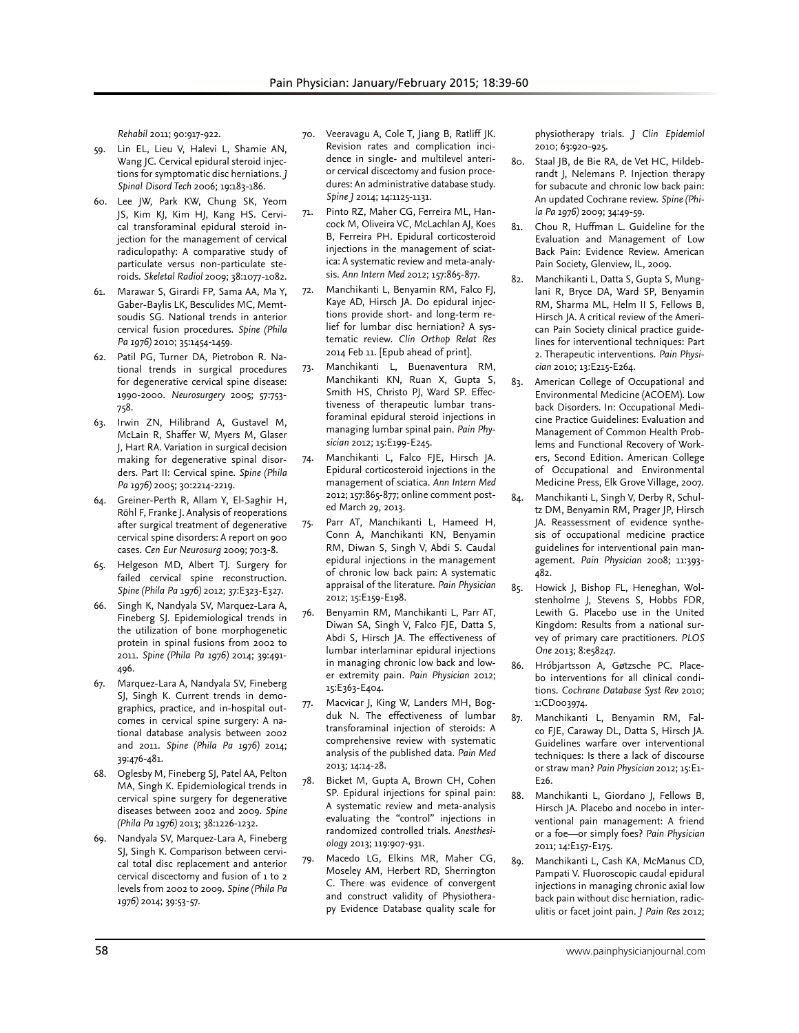*Rehabil* 2011; 90:917-922.

- 59. Lin EL, Lieu V, Halevi L, Shamie AN, Wang JC. Cervical epidural steroid injections for symptomatic disc herniations. *J Spinal Disord Tech* 2006; 19:183-186.
- 60. Lee JW, Park KW, Chung SK, Yeom JS, Kim KJ, Kim HJ, Kang HS. Cervical transforaminal epidural steroid injection for the management of cervical radiculopathy: A comparative study of particulate versus non-particulate steroids. *Skeletal Radiol* 2009; 38:1077-1082.
- 61. Marawar S, Girardi FP, Sama AA, Ma Y, Gaber-Baylis LK, Besculides MC, Memtsoudis SG. National trends in anterior cervical fusion procedures. *Spine (Phila Pa 1976)* 2010; 35:1454-1459.
- 62. Patil PG, Turner DA, Pietrobon R. National trends in surgical procedures for degenerative cervical spine disease: 1990-2000. *Neurosurgery* 2005; 57:753- 758.
- 63. Irwin ZN, Hilibrand A, Gustavel M, McLain R, Shaffer W, Myers M, Glaser J, Hart RA. Variation in surgical decision making for degenerative spinal disorders. Part II: Cervical spine. *Spine (Phila Pa 1976)* 2005; 30:2214-2219.
- 64. Greiner-Perth R, Allam Y, El-Saghir H, Röhl F, Franke J. Analysis of reoperations after surgical treatment of degenerative cervical spine disorders: A report on 900 cases. *Cen Eur Neurosurg* 2009; 70:3-8.
- 65. Helgeson MD, Albert TJ. Surgery for failed cervical spine reconstruction. *Spine (Phila Pa 1976)* 2012; 37:E323-E327.
- 66. Singh K, Nandyala SV, Marquez-Lara A, Fineberg SJ. Epidemiological trends in the utilization of bone morphogenetic protein in spinal fusions from 2002 to 2011. *Spine (Phila Pa 1976)* 2014; 39:491- 496.
- 67. Marquez-Lara A, Nandyala SV, Fineberg SJ, Singh K. Current trends in demographics, practice, and in-hospital outcomes in cervical spine surgery: A national database analysis between 2002 and 2011. *Spine (Phila Pa 1976)* 2014; 39:476-481.
- 68. Oglesby M, Fineberg SJ, Patel AA, Pelton MA, Singh K. Epidemiological trends in cervical spine surgery for degenerative diseases between 2002 and 2009. *Spine (Phila Pa 1976)* 2013; 38:1226-1232.
- 69. Nandyala SV, Marquez-Lara A, Fineberg SJ, Singh K. Comparison between cervical total disc replacement and anterior cervical discectomy and fusion of 1 to 2 levels from 2002 to 2009. *Spine (Phila Pa 1976)* 2014; 39:53-57.
- 70. Veeravagu A, Cole T, Jiang B, Ratliff JK. Revision rates and complication incidence in single- and multilevel anterior cervical discectomy and fusion procedures: An administrative database study. *Spine J* 2014; 14:1125-1131.
- 71. Pinto RZ, Maher CG, Ferreira ML, Hancock M, Oliveira VC, McLachlan AJ, Koes B, Ferreira PH. Epidural corticosteroid injections in the management of sciatica: A systematic review and meta-analysis. *Ann Intern Med* 2012; 157:865-877.
- 72. Manchikanti L, Benyamin RM, Falco FJ, Kaye AD, Hirsch JA. Do epidural injections provide short- and long-term relief for lumbar disc herniation? A systematic review. *Clin Orthop Relat Res* 2014 Feb 11. [Epub ahead of print].
- 73. Manchikanti L, Buenaventura RM, Manchikanti KN, Ruan X, Gupta S, Smith HS, Christo PJ, Ward SP. Effectiveness of therapeutic lumbar transforaminal epidural steroid injections in managing lumbar spinal pain. *Pain Physician* 2012; 15:E199-E245.
- 74. Manchikanti L, Falco FJE, Hirsch JA. Epidural corticosteroid injections in the management of sciatica. *Ann Intern Med*  2012; 157:865-877; online comment posted March 29, 2013.
- 75. Parr AT, Manchikanti L, Hameed H, Conn A, Manchikanti KN, Benyamin RM, Diwan S, Singh V, Abdi S. Caudal epidural injections in the management of chronic low back pain: A systematic appraisal of the literature. *Pain Physician*  2012; 15:E159-E198.
- 76. Benyamin RM, Manchikanti L, Parr AT, Diwan SA, Singh V, Falco FJE, Datta S, Abdi S, Hirsch JA. The effectiveness of lumbar interlaminar epidural injections in managing chronic low back and lower extremity pain. *Pain Physician* 2012; 15:E363-E404.
- 77. Macvicar J, King W, Landers MH, Bogduk N. The effectiveness of lumbar transforaminal injection of steroids: A comprehensive review with systematic analysis of the published data. *Pain Med* 2013; 14:14-28.
- 78. Bicket M, Gupta A, Brown CH, Cohen SP. Epidural injections for spinal pain: A systematic review and meta-analysis evaluating the "control" injections in randomized controlled trials. *Anesthesiology* 2013; 119:907-931.
- 79. Macedo LG, Elkins MR, Maher CG, Moseley AM, Herbert RD, Sherrington C. There was evidence of convergent and construct validity of Physiotherapy Evidence Database quality scale for

physiotherapy trials. *J Clin Epidemiol* 2010; 63:920-925.

- 80. Staal JB, de Bie RA, de Vet HC, Hildebrandt J, Nelemans P. Injection therapy for subacute and chronic low back pain: An updated Cochrane review. *Spine (Phila Pa 1976)* 2009; 34:49-59.
- 81. Chou R, Huffman L. Guideline for the Evaluation and Management of Low Back Pain: Evidence Review. American Pain Society, Glenview, IL, 2009.
- 82. Manchikanti L, Datta S, Gupta S, Munglani R, Bryce DA, Ward SP, Benyamin RM, Sharma ML, Helm II S, Fellows B, Hirsch JA. A critical review of the American Pain Society clinical practice guidelines for interventional techniques: Part 2. Therapeutic interventions. *Pain Physician* 2010; 13:E215-E264.
- 83. American College of Occupational and Environmental Medicine (ACOEM). Low back Disorders. In: Occupational Medicine Practice Guidelines: Evaluation and Management of Common Health Problems and Functional Recovery of Workers, Second Edition. American College of Occupational and Environmental Medicine Press, Elk Grove Village, 2007.
- 84. Manchikanti L, Singh V, Derby R, Schultz DM, Benyamin RM, Prager JP, Hirsch JA. Reassessment of evidence synthesis of occupational medicine practice guidelines for interventional pain management. *Pain Physician* 2008; 11:393- 482.
- 85. Howick J, Bishop FL, Heneghan, Wolstenholme J, Stevens S, Hobbs FDR, Lewith G. Placebo use in the United Kingdom: Results from a national survey of primary care practitioners. *PLOS One* 2013; 8:e58247.
- 86. Hróbjartsson A, Gøtzsche PC. Placebo interventions for all clinical conditions. *Cochrane Database Syst Rev* 2010; 1:CD003974.
- 87. Manchikanti L, Benyamin RM, Falco FJE, Caraway DL, Datta S, Hirsch JA. Guidelines warfare over interventional techniques: Is there a lack of discourse or straw man? *Pain Physician* 2012; 15:E1- E26.
- 88. Manchikanti L, Giordano J, Fellows B, Hirsch JA. Placebo and nocebo in interventional pain management: A friend or a foe—or simply foes? *Pain Physician*  2011; 14:E157-E175.
- 89. Manchikanti L, Cash KA, McManus CD, Pampati V. Fluoroscopic caudal epidural injections in managing chronic axial low back pain without disc herniation, radiculitis or facet joint pain. *J Pain Res* 2012;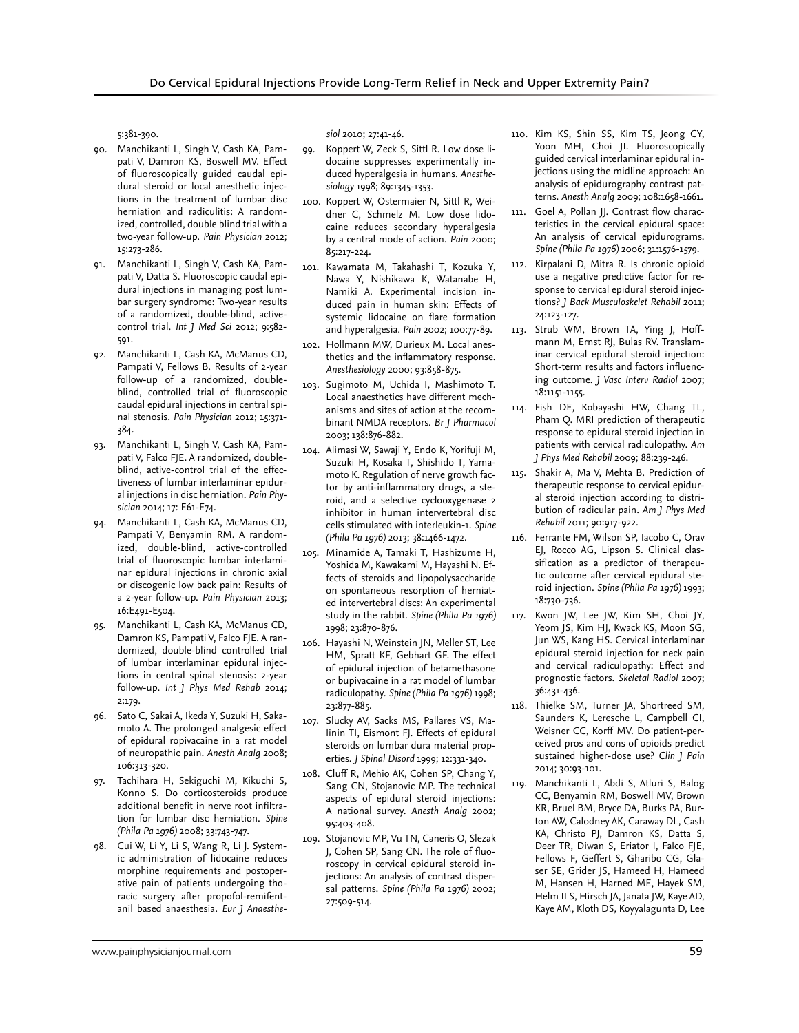5:381-390.

- 90. Manchikanti L, Singh V, Cash KA, Pampati V, Damron KS, Boswell MV. Effect of fluoroscopically guided caudal epidural steroid or local anesthetic injections in the treatment of lumbar disc herniation and radiculitis: A randomized, controlled, double blind trial with a two-year follow-up. *Pain Physician* 2012; 15:273-286.
- 91. Manchikanti L, Singh V, Cash KA, Pampati V, Datta S. Fluoroscopic caudal epidural injections in managing post lumbar surgery syndrome: Two-year results of a randomized, double-blind, activecontrol trial. *Int J Med Sci* 2012; 9:582- 591.
- 92. Manchikanti L, Cash KA, McManus CD, Pampati V, Fellows B. Results of 2-year follow-up of a randomized, doubleblind, controlled trial of fluoroscopic caudal epidural injections in central spinal stenosis. *Pain Physician* 2012; 15:371- 384.
- 93. Manchikanti L, Singh V, Cash KA, Pampati V, Falco FJE. A randomized, doubleblind, active-control trial of the effectiveness of lumbar interlaminar epidural injections in disc herniation. *Pain Physician* 2014; 17: E61-E74.
- 94. Manchikanti L, Cash KA, McManus CD, Pampati V, Benyamin RM. A randomized, double-blind, active-controlled trial of fluoroscopic lumbar interlaminar epidural injections in chronic axial or discogenic low back pain: Results of a 2-year follow-up. *Pain Physician* 2013; 16:E491-E504.
- 95. Manchikanti L, Cash KA, McManus CD, Damron KS, Pampati V, Falco FJE. A randomized, double-blind controlled trial of lumbar interlaminar epidural injections in central spinal stenosis: 2-year follow-up. *Int J Phys Med Rehab* 2014; 2:179.
- 96. Sato C, Sakai A, Ikeda Y, Suzuki H, Sakamoto A. The prolonged analgesic effect of epidural ropivacaine in a rat model of neuropathic pain. *Anesth Analg* 2008; 106:313-320.
- 97. Tachihara H, Sekiguchi M, Kikuchi S, Konno S. Do corticosteroids produce additional benefit in nerve root infiltration for lumbar disc herniation. *Spine (Phila Pa 1976)* 2008; 33:743-747.
- 98. Cui W, Li Y, Li S, Wang R, Li J. Systemic administration of lidocaine reduces morphine requirements and postoperative pain of patients undergoing thoracic surgery after propofol-remifentanil based anaesthesia. *Eur J Anaesthe-*

*siol* 2010; 27:41-46.

- 99. Koppert W, Zeck S, Sittl R. Low dose lidocaine suppresses experimentally induced hyperalgesia in humans. *Anesthesiology* 1998; 89:1345-1353.
- 100. Koppert W, Ostermaier N, Sittl R, Weidner C, Schmelz M. Low dose lidocaine reduces secondary hyperalgesia by a central mode of action. *Pain* 2000; 85:217-224.
- 101. Kawamata M, Takahashi T, Kozuka Y, Nawa Y, Nishikawa K, Watanabe H, Namiki A. Experimental incision induced pain in human skin: Effects of systemic lidocaine on flare formation and hyperalgesia. *Pain* 2002; 100:77-89.
- 102. Hollmann MW, Durieux M. Local anesthetics and the inflammatory response. *Anesthesiology* 2000; 93:858-875.
- 103. Sugimoto M, Uchida I, Mashimoto T. Local anaesthetics have different mechanisms and sites of action at the recombinant NMDA receptors. *Br J Pharmacol* 2003; 138:876-882.
- 104. Alimasi W, Sawaji Y, Endo K, Yorifuji M, Suzuki H, Kosaka T, Shishido T, Yamamoto K. Regulation of nerve growth factor by anti-inflammatory drugs, a steroid, and a selective cyclooxygenase 2 inhibitor in human intervertebral disc cells stimulated with interleukin-1. *Spine (Phila Pa 1976)* 2013; 38:1466-1472.
- 105. Minamide A, Tamaki T, Hashizume H, Yoshida M, Kawakami M, Hayashi N. Effects of steroids and lipopolysaccharide on spontaneous resorption of herniated intervertebral discs: An experimental study in the rabbit. *Spine (Phila Pa 1976)* 1998; 23:870-876.
- 106. Hayashi N, Weinstein JN, Meller ST, Lee HM, Spratt KF, Gebhart GF. The effect of epidural injection of betamethasone or bupivacaine in a rat model of lumbar radiculopathy. *Spine (Phila Pa 1976)* 1998; 23:877-885.
- 107. Slucky AV, Sacks MS, Pallares VS, Malinin TI, Eismont FJ. Effects of epidural steroids on lumbar dura material properties. *J Spinal Disord* 1999; 12:331-340.
- 108. Cluff R, Mehio AK, Cohen SP, Chang Y, Sang CN, Stojanovic MP. The technical aspects of epidural steroid injections: A national survey. *Anesth Analg* 2002; 95:403-408.
- 109. Stojanovic MP, Vu TN, Caneris O, Slezak J, Cohen SP, Sang CN. The role of fluoroscopy in cervical epidural steroid injections: An analysis of contrast dispersal patterns. *Spine (Phila Pa 1976)* 2002; 27:509-514.
- 110. Kim KS, Shin SS, Kim TS, Jeong CY, Yoon MH, Choi JI. Fluoroscopically guided cervical interlaminar epidural injections using the midline approach: An analysis of epidurography contrast patterns. *Anesth Analg* 2009; 108:1658-1661.
- 111. Goel A, Pollan JJ. Contrast flow characteristics in the cervical epidural space: An analysis of cervical epidurograms. *Spine (Phila Pa 1976)* 2006; 31:1576-1579.
- 112. Kirpalani D, Mitra R. Is chronic opioid use a negative predictive factor for response to cervical epidural steroid injections? *J Back Musculoskelet Rehabil* 2011; 24:123-127.
- 113. Strub WM, Brown TA, Ying J, Hoffmann M, Ernst RJ, Bulas RV. Translaminar cervical epidural steroid injection: Short-term results and factors influencing outcome. *J Vasc Interv Radiol* 2007; 18:1151-1155.
- 114. Fish DE, Kobayashi HW, Chang TL, Pham Q. MRI prediction of therapeutic response to epidural steroid injection in patients with cervical radiculopathy. *Am J Phys Med Rehabil* 2009; 88:239-246.
- 115. Shakir A, Ma V, Mehta B. Prediction of therapeutic response to cervical epidural steroid injection according to distribution of radicular pain. *Am J Phys Med Rehabil* 2011; 90:917-922.
- 116. Ferrante FM, Wilson SP, Iacobo C, Orav EJ, Rocco AG, Lipson S. Clinical classification as a predictor of therapeutic outcome after cervical epidural steroid injection. *Spine (Phila Pa 1976)* 1993; 18:730-736.
- 117. Kwon JW, Lee JW, Kim SH, Choi JY, Yeom JS, Kim HJ, Kwack KS, Moon SG, Jun WS, Kang HS. Cervical interlaminar epidural steroid injection for neck pain and cervical radiculopathy: Effect and prognostic factors. *Skeletal Radiol* 2007; 36:431-436.
- 118. Thielke SM, Turner JA, Shortreed SM, Saunders K, Leresche L, Campbell CI, Weisner CC, Korff MV. Do patient-perceived pros and cons of opioids predict sustained higher-dose use? *Clin J Pain* 2014; 30:93-101.
- 119. Manchikanti L, Abdi S, Atluri S, Balog CC, Benyamin RM, Boswell MV, Brown KR, Bruel BM, Bryce DA, Burks PA, Burton AW, Calodney AK, Caraway DL, Cash KA, Christo PJ, Damron KS, Datta S, Deer TR, Diwan S, Eriator I, Falco FJE, Fellows F, Geffert S, Gharibo CG, Glaser SE, Grider JS, Hameed H, Hameed M, Hansen H, Harned ME, Hayek SM, Helm II S, Hirsch JA, Janata JW, Kaye AD, Kaye AM, Kloth DS, Koyyalagunta D, Lee